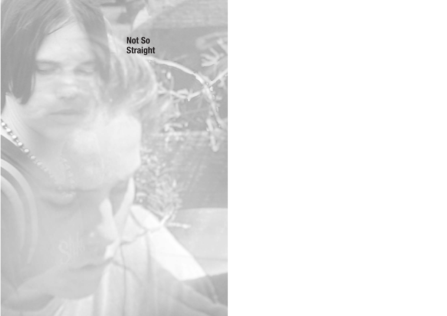**Not So Straight**

A. R. R.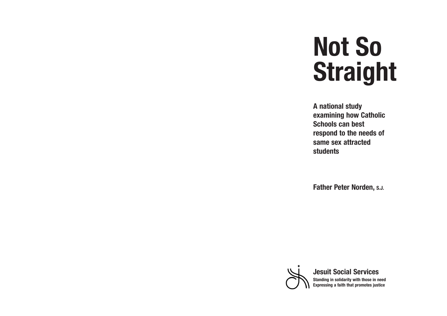# **Not So Straight**

**A national study examining how Catholic Schools can best respond to the needs of same sex attracted students**

**Father Peter Norden, S.J.**



**Jesuit Social Services Standing in solidarity with those in need Expressing a faith that promotes justice**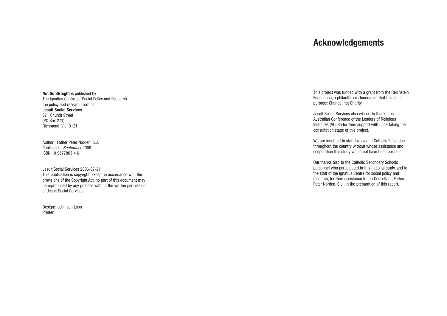# **Acknowledgements**

This project was funded with a grant from the Reichstein Foundation, a philanthropic foundation that has as its purpose: Change, not Charity.

Jesuit Social Services also wishes to thanks the Australian Conference of the Leaders of Religious Institutes (ACLRI) for their support with undertaking the consultation stage of this project.

We are indebted to staff involved in Catholic Education throughout the countr y without whose assistance and cooperation this study would not have been possible.

Our thanks also to the Catholic Secondar y Schools personnel who participated in this national study, and to the staff of the Ignatius Centre for social policy and research, for their assistance to the Consultant, Father Peter Norden, S.J., in the preparation of this report.

**Not So Straight** is published by The Ignatius Centre for Social Policy and Research the policy and research arm of **Jesuit Social Services** 371 Church Street (PO Box 271) Richmond Vic 3121

Author: F ather Peter Norden, S.J. Published: *September* 2006. ISBN: 0 9577803 4 6

Jesuit Social Services 2006-07-21 This publication is copyright. Except in accordance with the provisions of the Copyright Act, no part of this document may be reproduced by any process without the written permission of Jesuit Social Services.

Design: John van Loon Printer: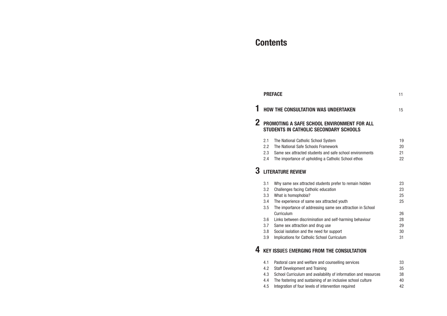# **Contents**

#### **PREFACE** 11

## **1** HOW THE CONSULTATION WAS UNDE

## **2** PROMOTING A SAFE SCHOOL ENVIR **STUDENTS IN CATHOLIC SECONDARY**

- 2.1 The National Catholic School System
- 2.2 The National Safe Schools Framework
- 2.3 Same sex attracted students and safe
- 2.4 The importance of upholding a Cathol

## **3 LITERATURE REVIEW**

- 3.1 Why same sex attracted students pref
- 3.2 Challenges facing Catholic education
- 3.3 What is homophobia?
- 3.4 The experience of same sex attracted
- 3.5 The importance of addressing same sex at the importance of addressing same Curriculum
- 3.6 Links between discrimination and self-
- 3.7 Same sex attraction and drug use
- 3.8 Social isolation and the need for supp
- 3.9 Implications for Catholic School Curric

## **4 KEY ISSUES EMERGING FROM THE C**

- 4.1 Pastoral care and welfare and counsel
- 4.2 Staff Development and Training
- 4.3 School Curriculum and availability of
- 4.4 The fostering and sustaining of an inclusive 10
- 4.5 Integration of four levels of intervention required

| <b>ERTAKEN</b>                                                                       | 15                         |
|--------------------------------------------------------------------------------------|----------------------------|
| <b>ONMENT FOR ALL</b><br>Y SCHOOLS                                                   |                            |
| K<br>school environments<br>lic School ethos                                         | 19<br>20<br>21<br>22       |
| fer to remain hidden                                                                 | 23<br>23<br>25             |
| I youth<br>sex attraction in School                                                  | 25                         |
| f-harming behaviour<br>ort<br>culum                                                  | 26<br>28<br>29<br>30<br>31 |
| <b>CONSULTATION</b>                                                                  |                            |
| Iling services<br>information and resources<br>clusive school culture<br>hariunar nr | 33<br>35<br>38<br>40<br>42 |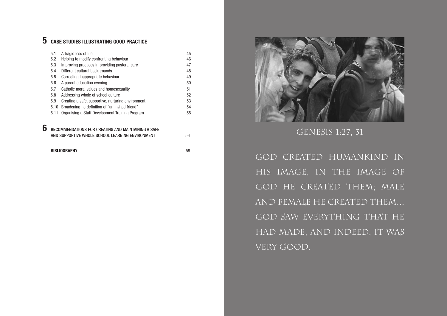# **5 CASE STUDIES ILLUSTRATING GOOD PRACTICE**

|   | 5.1  | A tragic loss of life                              | 45 |
|---|------|----------------------------------------------------|----|
|   | 5.2  | Helping to modify confronting behaviour            | 46 |
|   | 5.3  | Improving practices in providing pastoral care     | 47 |
|   | 5.4  | Different cultural backgrounds                     | 48 |
|   | 5.5  | Correcting inappropriate behaviour                 | 49 |
|   | 5.6  | A parent education evening                         | 50 |
|   | 5.7  | Catholic moral values and homosexuality            | 51 |
|   | 5.8  | Addressing whole of school culture                 | 52 |
|   | 5.9  | Creating a safe, supportive, nurturing environment | 53 |
|   | 5.10 | Broadening he definition of "an invited friend"    | 54 |
|   | 5.11 | Organising a Staff Development Training Program    | 55 |
|   |      |                                                    |    |
| 6 |      | IMENDATIONS FOR CREATING AND MAINTAINING A SAFE    |    |

AND SUPPORTIVE WHOLE SCHOOL LEARNING ENVIRONMENT 56

God created humankind in his image, in the image of GOD HE CREATED THEM; MALE and female he created them… GOD SAW EVERYTHING THAT HE had made, and indeed, it was VERY GOOD.

**BIBLIOGRAPHY** 59



GENESIS 1:27, 31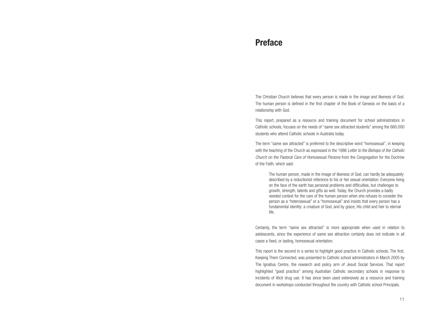## **Preface**

The Christian Church believes that every person is made in the image and likeness of God. The human person is defined in the first chapter of the Book of Genesis on the basis of a relationship with God.

This report, prepared as a resource and training document for school administrators in Catholic schools, focuses on the needs of "same sex attracted students" among the 660,000 students who attend Catholic schools in Australia today.

The term "same sex attracted" is preferred to the descriptive word "homosexual", in keeping with the teaching of the Church as expressed in the 1986 *Letter to the Bishops of the Catholic Church on the Pastoral Care of Homosexual Persons* from the Congregation for the Doctrine of the Faith, which said:

The human person, made in the image of likeness of God, can hardly be adequately described by a reductionist reference to his or her sexual orientation. Everyone living on the face of the earth has personal problems and difficulties, but challenges to growth, strength, talents and gifts as well. Today, the Church provides a badly needed context for the care of the human person when she refuses to consider the person as a "heterosexual" or a "homosexual" and insists that every person has a fundamental identity: a creature of God, and by grace, His child and heir to eternal life.

Certainly, the term "same sex attracted" is more appropriate when used in relation to adolescents, since the experience of same sex attraction certainly does not indicate in all cases a fixed, or lasting, homosexual orientation.

This report is the second in a series to highlight good practice in Catholic schools. The first, Keeping Them Connected, was presented to Catholic school administrators in March 2005 by The Ignatius Centre, the research and policy arm of Jesuit Social Services. That report highlighted "good practice" among Australian Catholic secondary schools in response to incidents of illicit drug use. It has since been used extensively as a resource and training document in workshops conducted throughout the country with Catholic school Principals.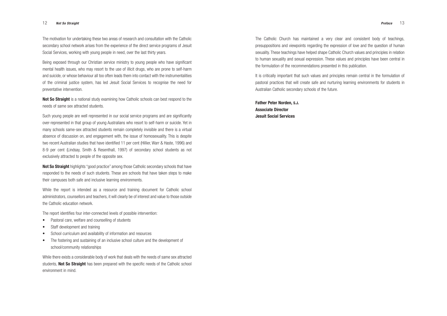The Catholic Church has maintained a very clear and consistent body of teachings, presuppositions and viewpoints regarding the expression of love and the question of human sexuality. These teachings have helped shape Catholic Church values and principles in relation to human sexuality and sexual expression. These values and principles have been central in the formulation of the recommendations presented in this publication.

It is critically important that such values and principles remain central in the formulation of pastoral practices that will create safe and nurturing learning environments for students in Australian Catholic secondary schools of the future.

**Father Peter Norden, S.J. Associate Director Jesuit Social Services**

The motivation for undertaking these two areas of research and consultation with the Catholic secondary school network arises from the experience of the direct service programs of Jesuit Social Services, working with young people in need, over the last thirty years.

**Not So Straight** highlights "good practice" among those Catholic secondary schools that have responded to the needs of such students. These are schools that have taken steps to make their campuses both safe and inclusive learning environments.

Being exposed through our Christian service ministry to young people who have significant mental health issues, who may resort to the use of illicit drugs, who are prone to self-harm and suicide, or whose behaviour all too often leads them into contact with the instrumentalities of the criminal justice system, has led Jesuit Social Services to recognise the need for preventative intervention.

**Not So Straight** is a national study examining how Catholic schools can best respond to the needs of same sex attracted students.

Such young people are well represented in our social service programs and are significantly over-represented in that group of young Australians who resort to self-harm or suicide. Yet in many schools same-sex attracted students remain completely invisible and there is a virtual absence of discussion on, and engagement with, the issue of homosexuality. This is despite two recent Australian studies that have identified 11 per cent (Hillier, Warr & Haste, 1996) and 8-9 per cent (Lindsay, Smith & Resenthall, 1997) of secondary school students as not exclusively attracted to people of the opposite sex.

While the report is intended as a resource and training document for Catholic school administrators, counsellors and teachers, it will clearly be of interest and value to those outside the Catholic education network.

The report identifies four inter-connected levels of possible intervention:

- Pastoral care, welfare and counselling of students
- Staff development and training
- School curriculum and availability of information and resources
- The fostering and sustaining of an inclusive school culture and the development of school/community relationships

While there exists a considerable body of work that deals with the needs of same sex attracted students, **Not So Straight** has been prepared with the specific needs of the Catholic school environment in mind.

#### 12 *Not So Straight Preface* 13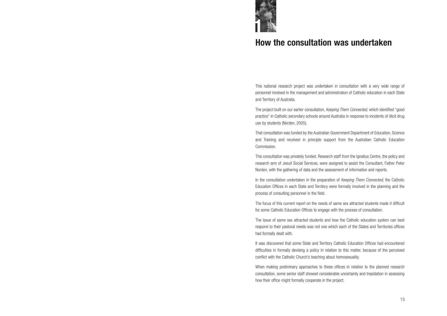# **How the consultation was undertaken**

This national research project was undertaken in consultation with a very wide range of personnel involved in the management and administration of Catholic education in each State and Territory of Australia.

The project built on our earlier consultation, *Keeping Them Connected,* which identified "good practice" in Catholic secondary schools around Australia in response to incidents of illicit drug use by students (Norden, 2005).

That consultation was funded by the Australian Government Department of Education, Science and Training and received in principle support from the Australian Catholic Education Commission.

This consultation was privately funded. Research staff from the Ignatius Centre, the policy and research arm of Jesuit Social Services, were assigned to assist the Consultant, Father Peter Norden, with the gathering of data and the assessment of information and reports.

In the consultation undertaken in the preparation of *Keeping Them Connected*, the Catholic Education Offices in each State and Territory were formally involved in the planning and the process of consulting personnel in the field.

The focus of this current report on the needs of same sex attracted students made it difficult for some Catholic Education Offices to engage with the process of consultation.

The issue of same sex attracted students and how the Catholic education system can best respond to their pastoral needs was not one which each of the States and Territories offices had formally dealt with.

It was discovered that some State and Territory Catholic Education Offices had encountered difficulties in formally devising a policy in relation to this matter, because of the perceived conflict with the Catholic Church's teaching about homosexuality.

When making preliminary approaches to these offices in relation to the planned research consultation, some senior staff showed considerable uncertainty and trepidation in assessing how their office might formally cooperate in the project.

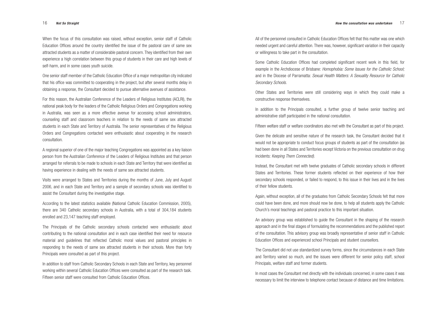All of the personnel consulted in Catholic Education Offices felt that this matter was one which needed urgent and careful attention. There was, however, significant variation in their capacity or willingness to take part in the consultation.

Some Catholic Education Offices had completed significant recent work in this field, for example in the Archdiocese of Brisbane: *Homophobia: Some Issues for the Catholic School;* and in the Diocese of Parramatta: *Sexual Health Matters: A Sexuality Resource for Catholic Secondary Schools.*

Other States and Territories were still considering ways in which they could make a constructive response themselves.

In addition to the Principals consulted, a further group of twelve senior teaching and administrative staff participated in the national consultation.

Fifteen welfare staff or welfare coordinators also met with the Consultant as part of this project.

Given the delicate and sensitive nature of the research task, the Consultant decided that it would not be appropriate to conduct focus groups of students as part of the consultation (as had been done in all States and Territories except Victoria on the previous consultation on drug incidents: *Keeping Them Connected).*

Instead, the Consultant met with twelve graduates of Catholic secondary schools in different States and Territories. These former students reflected on their experience of how their secondary schools responded, or failed to respond, to this issue in their lives and in the lives of their fellow students.

Again, without exception, all of the graduates from Catholic Secondary Schools felt that more could have been done, and more should now be done, to help all students apply the Catholic Church's moral teachings and pastoral practice to this important situation.

An advisory group was established to guide the Consultant in the shaping of the research approach and in the final stages of formulating the recommendations and the published report of the consultation. This advisory group was broadly representative of senior staff in Catholic Education Offices and experienced school Principals and student counsellors.

The Consultant did not use standardized survey forms, since the circumstances in each State and Territory varied so much, and the issues were different for senior policy staff, school Principals, welfare staff and former students.

In most cases the Consultant met directly with the individuals concerned, in some cases it was necessary to limit the interview to telephone contact because of distance and time limitations.

When the focus of this consultation was raised, without exception, senior staff of Catholic Education Offices around the country identified the issue of the pastoral care of same sex attracted students as a matter of considerable pastoral concern. They identified from their own experience a high correlation between this group of students in their care and high levels of self-harm, and in some cases youth suicide.

One senior staff member of the Catholic Education Office of a major metropolitan city indicated that his office was committed to cooperating in the project, but after several months delay in obtaining a response, the Consultant decided to pursue alternative avenues of assistance.

For this reason, the Australian Conference of the Leaders of Religious Institutes (ACLRI), the national peak body for the leaders of the Catholic Religious Orders and Congregations working in Australia, was seen as a more effective avenue for accessing school administrators, counseling staff and classroom teachers in relation to the needs of same sex attracted students in each State and Territory of Australia. The senior representatives of the Religious Orders and Congregations contacted were enthusiastic about cooperating in the research consultation.

A regional superior of one of the major teaching Congregations was appointed as a key liaison person from the Australian Conference of the Leaders of Religious Institutes and that person arranged for referrals to be made to schools in each State and Territory that were identified as having experience in dealing with the needs of same sex attracted students.

Visits were arranged to States and Territories during the months of June, July and August 2006, and in each State and Territory and a sample of secondary schools was identified to assist the Consultant during the investigative stage.

According to the latest statistics available (National Catholic Education Commission, 2005), there are 340 Catholic secondary schools in Australia, with a total of 304,184 students enrolled and 23,147 teaching staff employed.

The Principals of the Catholic secondary schools contacted were enthusiastic about contributing to the national consultation and in each case identified their need for resource material and guidelines that reflected Catholic moral values and pastoral principles in responding to the needs of same sex attracted students in their schools. More than forty Principals were consulted as part of this project.

In addition to staff from Catholic Secondary Schools in each State and Territory, key personnel working within several Catholic Education Offices were consulted as part of the research task. Fifteen senior staff were consulted from Catholic Education Offices.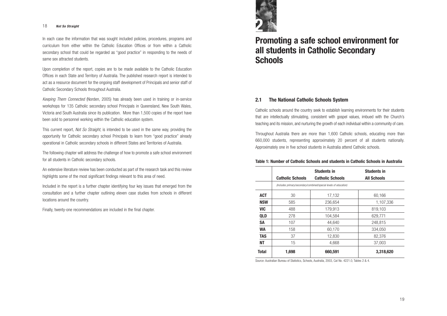# **Promoting a safe school environment for all students in Catholic Secondary Schools**

#### **2.1 The National Catholic Schools System**

Catholic schools around the country seek to establish learning environments for their students that are intellectually stimulating, consistent with gospel values, imbued with the Church's teaching and its mission, and nurturing the growth of each individual within a community of care.

Throughout Australia there are more than 1,600 Catholic schools, educating more than 660,000 students, representing approximately 20 percent of all students nationally. Approximately one in five school students in Australia attend Catholic schools.

#### **Table 1: Number of Catholic Schools and stude**

In each case the information that was sought included policies, procedures, programs and curriculum from either within the Catholic Education Offices or from within a Catholic secondary school that could be regarded as "good practice" in responding to the needs of same sex attracted students.

|            |                                                                   | <b>Students in</b>      |                    |  |  |
|------------|-------------------------------------------------------------------|-------------------------|--------------------|--|--|
|            | <b>Catholic Schools</b>                                           | <b>Catholic Schools</b> | <b>All Schools</b> |  |  |
|            | (Includes primary/secondary/combined/special levels of education) |                         |                    |  |  |
| <b>ACT</b> | 30                                                                | 17,132                  | 60,166             |  |  |
| <b>NSW</b> | 585                                                               | 236,654                 | 1,107,336          |  |  |
| <b>VIC</b> | 488                                                               | 179,913                 | 819,103            |  |  |
| <b>QLD</b> | 278                                                               | 104,584                 | 629,771            |  |  |
| <b>SA</b>  | 107                                                               | 44,640                  | 248,815            |  |  |
| <b>WA</b>  | 158                                                               | 60,170                  | 334,050            |  |  |
| <b>TAS</b> | 37                                                                | 12,830                  | 82,376             |  |  |
| <b>NT</b>  | 15                                                                | 4,668                   | 37,003             |  |  |
| Total      | 1,698                                                             | 660,591                 | 3,318,620          |  |  |

Source: Australian Bureau of Statistics, Schools, Australia, 2003, Cat No. 4221.0, Tables 2 & 4.

|  |  | ents in Catholic Schools in Australia |
|--|--|---------------------------------------|
|  |  |                                       |

Upon completion of the report, copies are to be made available to the Catholic Education Offices in each State and Territory of Australia. The published research report is intended to act as a resource document for the ongoing staff development of Principals and senior staff of Catholic Secondary Schools throughout Australia.

*Keeping Them Connected* (Norden, 2005) has already been used in training or in-service workshops for 135 Catholic secondary school Principals in Queensland, New South Wales, Victoria and South Australia since its publication. More than 1,500 copies of the report have been sold to personnel working within the Catholic education system.

This current report, *Not So Straight*, is intended to be used in the same way, providing the opportunity for Catholic secondary school Principals to learn from "good practice" already operational in Catholic secondary schools in different States and Territories of Australia.

The following chapter will address the challenge of how to promote a safe school environment for all students in Catholic secondary schools.

An extensive literature review has been conducted as part of the research task and this review highlights some of the most significant findings relevant to this area of need.

Included in the report is a further chapter identifying four key issues that emerged from the consultation and a further chapter outlining eleven case studies from schools in different locations around the country.

Finally, twenty-one recommendations are included in the final chapter.



# <sup>18</sup> *Not So Straight* **2**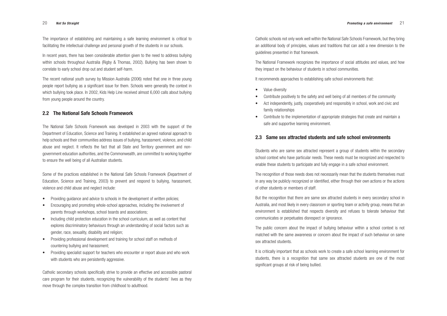Catholic schools not only work well within the National Safe Schools Framework, but they bring an additional body of principles, values and traditions that can add a new dimension to the guidelines presented in that framework.

The National Framework recognizes the importance of social attitudes and values, and how they impact on the behaviour of students in school communities.

It recommends approaches to establishing safe school environments that:

- Value diversity
- Contribute positively to the safety and well being of all members of the community
- Act independently, justly, cooperatively and responsibly in school, work and civic and family relationships
- Contribute to the implementation of appropriate strategies that create and maintain a safe and supportive learning environment.

#### **2.3 Same sex attracted students and safe school environments**

Students who are same sex attracted represent a group of students within the secondary school context who have particular needs. These needs must be recognized and respected to enable these students to participate and fully engage in a safe school environment.

The recognition of those needs does not necessarily mean that the students themselves must in any way be publicly recognized or identified, either through their own actions or the actions of other students or members of staff.

But the recognition that there are same sex attracted students in every secondary school in Australia, and most likely in every classroom or sporting team or activity group, means that an environment is established that respects diversity and refuses to tolerate behaviour that communicates or perpetuates disrespect or ignorance.

The public concern about the impact of bullying behaviour within a school context is not matched with the same awareness or concern about the impact of such behaviour on same sex attracted students.

It is critically important that as schools work to create a safe school learning environment for students, there is a recognition that same sex attracted students are one of the most significant groups at risk of being bullied.

- Providing guidance and advice to schools in the development of written policies;
- Encouraging and promoting whole-school approaches, including the involvement of parents through workshops, school boards and associations;
- Including child protection education in the school curriculum, as well as content that explores discriminatory behaviours through an understanding of social factors such as gender, race, sexuality, disability and religion;
- Providing professional development and training for school staff on methods of countering bullying and harassment;
- Providing specialist support for teachers who encounter or report abuse and who work with students who are persistently aggressive.

The importance of establishing and maintaining a safe learning environment is critical to facilitating the intellectual challenge and personal growth of the students in our schools.

In recent years, there has been considerable attention given to the need to address bullying within schools throughout Australia (Rigby & Thomas, 2002). Bullying has been shown to correlate to early school drop out and student self-harm.

The recent national youth survey by Mission Australia (2006) noted that one in three young people report bullying as a significant issue for them. Schools were generally the context in which bullying took place. In 2002, Kids Help Line received almost 6,000 calls about bullying from young people around the country.

#### **2.2 The National Safe Schools Framework**

The National Safe Schools Framework was developed in 2003 with the support of the Department of Education, Science and Training. It established an agreed national approach to help schools and their communities address issues of bullying, harassment, violence, and child abuse and neglect. It reflects the fact that all State and Territory government and nongovernment education authorities, and the Commonwealth, are committed to working together to ensure the well being of all Australian students.

Some of the practices established in the National Safe Schools Framework (Department of Education, Science and Training, 2003) to prevent and respond to bullying, harassment, violence and child abuse and neglect include:

Catholic secondary schools specifically strive to provide an effective and accessible pastoral care program for their students, recognizing the vulnerability of the students' lives as they move through the complex transition from childhood to adulthood.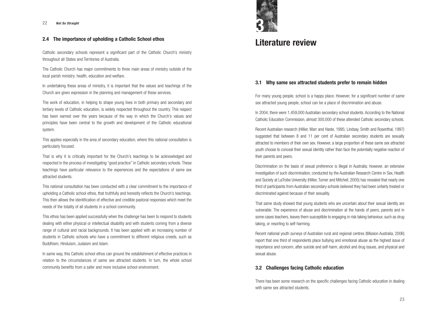## **Literature review**

## **3.1 Why same sex attracted students prefer to remain hidden**

For many young people, school is a happy place. However, for a significant number of same sex attracted young people, school can be a place of discrimination and abuse.

In 2004, there were 1,459,000 Australian secondary school students. According to the National Catholic Education Commission, almost 300,000 of these attended Catholic secondary schools.

Recent Australian research (Hillier, Warr and Haste, 1995; Lindsay, Smith and Rosenthal, 1997) suggested that between 8 and 11 per cent of Australian secondary students are sexually attracted to members of their own sex. However, a large proportion of these same sex attracted youth choose to conceal their sexual identity rather than face the potentially negative reaction of their parents and peers.

There has been some research on the specific challenges facing Catholic education in dealing with same sex attracted students.

Discrimination on the basis of sexual preference is illegal in Australia; however, an extensive investigation of such discrimination, conducted by the Australian Research Centre in Sex, Health and Society at LaTrobe University (Hillier, Turner and Mitchell, 2005) has revealed that nearly one third of participants from Australian secondary schools believed they had been unfairly treated or discriminated against because of their sexuality.

In undertaking these areas of ministry, it is important that the values and teachings of the Church are given expression in the planning and management of these services.

> That same study showed that young students who are uncertain about their sexual identity are vulnerable. The experience of abuse and discrimination at the hands of peers, parents and in some cases teachers, leaves them susceptible to engaging in risk taking behaviour, such as drug taking, or resorting to self-harming.

> Recent national youth surveys of Australian rural and regional centres (Mission Australia, 2006) report that one third of respondents place bullying and emotional abuse as the highest issue of importance and concern, after suicide and self-harm, alcohol and drug issues, and physical and sexual abuse.

#### **3.2 Challenges facing Catholic education**

#### **2.4 The importance of upholding a Catholic School ethos**

Catholic secondary schools represent a significant part of the Catholic Church's ministry throughout all States and Territories of Australia.

The Catholic Church has major commitments to three main areas of ministry outside of the local parish ministry: health, education and welfare.

The work of education, in helping to shape young lives in both primary and secondary and tertiary levels of Catholic education, is widely respected throughout the country. This respect has been earned over the years because of the way in which the Church's values and principles have been central to the growth and development of the Catholic educational system.

This applies especially in the area of secondary education, where this national consultation is particularly focused.

That is why it is critically important for the Church's teachings to be acknowledged and respected in the process of investigating "good practice" in Catholic secondary schools. These teachings have particular relevance to the experiences and the expectations of same sex attracted students.

This national consultation has been conducted with a clear commitment to the importance of upholding a Catholic school ethos, that truthfully and honestly reflects the Church's teachings. This then allows the identification of effective and credible pastoral responses which meet the needs of the totality of all students in a school community.

This ethos has been applied successfully when the challenge has been to respond to students dealing with either physical or intellectual disability and with students coming from a diverse range of cultural and racial backgrounds. It has been applied with an increasing number of students in Catholic schools who have a commitment to different religious creeds, such as Buddhism, Hinduism, Judaism and Islam.

In same way, this Catholic school ethos can ground the establishment of effective practices in relation to the circumstances of same sex attracted students. In turn, the whole school community benefits from a safer and more inclusive school environment.



# <sup>22</sup> *Not So Straight* **3**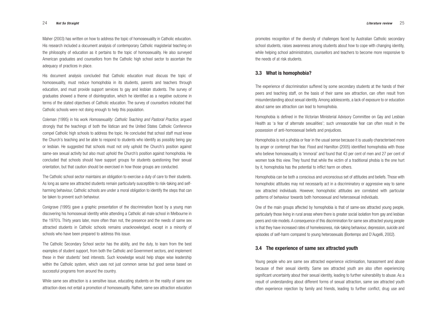promotes recognition of the diversity of challenges faced by Australian Catholic secondary school students, raises awareness among students about how to cope with changing identity, while helping school administrators, counsellors and teachers to become more responsive to the needs of at risk students.

#### **3.3 What is homophobia?**

The experience of discrimination suffered by some secondary students at the hands of their peers and teaching staff, on the basis of their same sex attraction, can often result from misunderstanding about sexual identity. Among adolescents, a lack of exposure to or education about same sex attraction can lead to homophobia.

Homophobia is defined in the Victorian Ministerial Advisory Committee on Gay and Lesbian Health as 'a fear of alternate sexualities'; such unreasonable fear can often result in the possession of anti-homosexual beliefs and prejudices.

Homophobia is not a phobia or fear in the usual sense because it is usually characterised more by anger or contempt than fear. Flood and Hamilton (2005) identified homophobia with those who believe homosexuality is 'immoral' and found that 43 per cent of men and 27 per cent of women took this view. They found that while the victim of a traditional phobia is the one hurt by it, homophobia has the potential to inflict harm on others.

Homophobia can be both a conscious and unconscious set of attitudes and beliefs. Those with homophobic attitudes may not necessarily act in a discriminatory or aggressive way to same sex attracted individuals. However, homophobic attitudes are correlated with particular patterns of behaviour towards both homosexual and heterosexual individuals.

One of the main groups affected by homophobia is that of same-sex attracted young people, particularly those living in rural areas where there is greater social isolation from gay and lesbian peers and role models.A consequence of this discrimination for same sex attracted young people is that they have increased rates of homelessness, risk-taking behaviour, depression, suicide and episodes of self-harm compared to young heterosexuals (Bontempo and D'Augelli, 2002).

## **3.4 The experience of same sex attracted youth**

Young people who are same sex attracted experience victimisation, harassment and abuse because of their sexual identity. Same sex attracted youth are also often experiencing significant uncertainty about their sexual identity, leading to further vulnerability to abuse. As a result of understanding about different forms of sexual attraction, same sex attracted youth often experience rejection by family and friends, leading to further conflict, drug use and

Maher (2003) has written on how to address the topic of homosexuality in Catholic education. His research included a document analysis of contemporary Catholic magisterial teaching on the philosophy of education as it pertains to the topic of homosexuality. He also surveyed American graduates and counsellors from the Catholic high school sector to ascertain the adequacy of practices in place.

His document analysis concluded that Catholic education must discuss the topic of homosexuality, must reduce homophobia in its students, parents and teachers through education, and must provide support services to gay and lesbian students. The survey of graduates showed a theme of disintegration, which he identified as a negative outcome in terms of the stated objectives of Catholic education. The survey of counsellors indicated that Catholic schools were not doing enough to help this population.

Coleman (1995) in his work *Homosexuality: Catholic Teaching and Pastoral Practice*, argued strongly that the teachings of both the Vatican and the United States Catholic Conference compel Catholic high schools to address the topic. He concluded that school staff must know the Church's teaching and be able to respond to students who identify as possibly being gay or lesbian. He suggested that schools must not only uphold the Church's position against same-sex sexual activity but also must uphold the Church's position against homophobia. He concluded that schools should have support groups for students questioning their sexual orientation, but that caution should be exercised in how those groups are conducted.

The Catholic school sector maintains an obligation to exercise a duty of care to their students. As long as same sex attracted students remain particularly susceptible to risk-taking and selfharming behaviour, Catholic schools are under a moral obligation to identify the steps that can be taken to prevent such behaviour.

Conigrave (1995) gave a graphic presentation of the discrimination faced by a young man discovering his homosexual identity while attending a Catholic all male school in Melbourne in the 1970's. Thirty years later, more often than not, the presence and the needs of same sex attracted students in Catholic schools remains unacknowledged, except in a minority of schools who have been prepared to address this issue.

The Catholic Secondary School sector has the ability, and the duty, to learn from the best examples of student support, from both the Catholic and Government sectors, and implement these in their students' best interests. Such knowledge would help shape wise leadership within the Catholic system, which uses not just common sense but good sense based on successful programs from around the country.

While same sex attraction is a sensitive issue, educating students on the reality of same sex attraction does not entail a promotion of homosexuality. Rather, same sex attraction education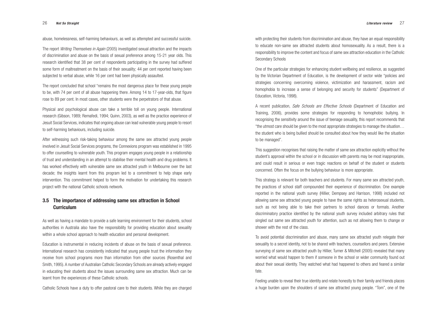with protecting their students from discrimination and abuse, they have an equal responsibility to educate non-same sex attracted students about homosexuality. As a result, there is a responsibility to improve the content and focus of same sex attraction education in the Catholic Secondary Schools

One of the particular strategies for enhancing student wellbeing and resilience, as suggested by the Victorian Department of Education, is the development of sector wide "policies and strategies concerning overcoming violence, victimization and harassment, racism and homophobia to increase a sense of belonging and security for students" (Department of Education, Victoria, 1998).

A recent publication, *Safe Schools are Effective Schools* (Department of Education and Training, 2006), provides some strategies for responding to homophobic bullying. In recognising the sensitivity around the issue of teenage sexuality, this report recommends that "the utmost care should be given to the most appropriate strategies to manage the situation… the student who is being bullied should be consulted about how they would like the situation to be managed".

This suggestion recognises that raising the matter of same sex attraction explicitly without the student's approval within the school or in discussion with parents may be most inappropriate, and could result in serious or even tragic reactions on behalf of the student or students concerned. Often the focus on the bullying behaviour is more appropriate.

This strategy is relevant for both teachers and students. For many same sex attracted youth, the practices of school staff compounded their experience of discrimination. One example reported in the national youth survey (Hillier, Dempsey and Harrison, 1998) included not allowing same sex attracted young people to have the same rights as heterosexual students, such as not being able to take their partners to school dances or formals. Another discriminatory practice identified by the national youth survey included arbitrary rules that singled out same sex attracted youth for attention, such as not allowing them to change or shower with the rest of the class.

To avoid potential discrimination and abuse, many same sex attracted youth relegate their sexuality to a secret identity, not to be shared with teachers, counsellors and peers. Extensive surveying of same sex attracted youth by Hillier, Turner & Mitchell (2005) revealed that many worried what would happen to them if someone in the school or wider community found out about their sexual identity. They watched what had happened to others and feared a similar fate.

Feeling unable to reveal their true identity and relate honestly to their family and friends places a huge burden upon the shoulders of same sex attracted young people. "Tom", one of the

abuse, homelessness, self-harming behaviours, as well as attempted and successful suicide.

The report *Writing Themselves in Again* (2005) investigated sexual attraction and the impacts of discrimination and abuse on the basis of sexual preference among 15-21 year olds. This research identified that 38 per cent of respondents participating in the survey had suffered some form of maltreatment on the basis of their sexuality; 44 per cent reported having been subjected to verbal abuse, while 16 per cent had been physically assaulted.

The report concluded that school "remains the most dangerous place for these young people to be, with 74 per cent of all abuse happening there. Among 14 to 17-year-olds, that figure rose to 89 per cent. In most cases, other students were the perpetrators of that abuse.

Physical and psychological abuse can take a terrible toll on young people. International research (Gibson, 1989; Remafedi, 1994; Quinn, 2003), as well as the practice experience of Jesuit Social Services, indicates that ongoing abuse can lead vulnerable young people to resort to self-harming behaviours, including suicide.

After witnessing such risk-taking behaviour among the same sex attracted young people involved in Jesuit Social Services programs, the Connexions program was established in 1995 to offer counselling to vulnerable youth. This program engages young people in a relationship of trust and understanding in an attempt to stabilise their mental health and drug problems. It has worked effectively with vulnerable same sex attracted youth in Melbourne over the last decade; the insights learnt from this program led to a commitment to help shape early intervention. This commitment helped to form the motivation for undertaking this research project with the national Catholic schools network.

#### **3.5 The importance of addressing same sex attraction in School Curriculum**

As well as having a mandate to provide a safe learning environment for their students, school authorities in Australia also have the responsibility for providing education about sexuality within a whole school approach to health education and personal development.

Education is instrumental in reducing incidents of abuse on the basis of sexual preference. International research has consistently indicated that young people trust the information they receive from school programs more than information from other sources (Rosenthal and Smith, 1995). A number of Australian Catholic Secondary Schools are already actively engaged in educating their students about the issues surrounding same sex attraction. Much can be learnt from the experiences of these Catholic schools.

Catholic Schools have a duty to offer pastoral care to their students. While they are charged

#### 26 *Not So Straight Literature review* 27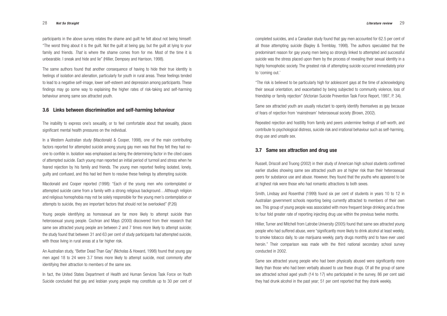completed suicides, and a Canadian study found that gay men accounted for 62.5 per cent of all those attempting suicide (Bagley & Tremblay, 1998). The authors speculated that the predominant reason for gay young men being so strongly linked to attempted and successful suicide was the stress placed upon them by the process of revealing their sexual identity in a highly homophobic society. The greatest risk of attempting suicide occurred immediately prior to 'coming out.'

"The risk is believed to be particularly high for adolescent gays at the time of acknowledging their sexual orientation, and exacerbated by being subjected to community violence, loss of friendship or family rejection" (Victorian Suicide Prevention Task Force Report, 1997, P. 34).

Same sex attracted youth are usually reluctant to openly identify themselves as gay because of fears of rejection from 'mainstream' heterosexual society (Brown, 2002).

Repeated rejection and hostility from family and peers undermine feelings of self-worth, and contribute to psychological distress, suicide risk and irrational behaviour such as self-harming, drug use and unsafe sex.

#### **3.7 Same sex attraction and drug use**

Russell, Driscoll and Truong (2002) in their study of American high school students confirmed earlier studies showing same sex attracted youth are at higher risk than their heterosexual peers for substance use and abuse. However, they found that the youths who appeared to be at highest risk were those who had romantic attractions to both sexes.

Smith, Lindsay and Rosenthal (1999) found six per cent of students in years 10 to 12 in Australian government schools reporting being currently attracted to members of their own sex. This group of young people was associated with more frequent binge drinking and a three to four fold greater rate of reporting injecting drug use within the previous twelve months.

Hillier, Turner and Mitchell from Latrobe University (2005) found that same sex attracted young people who had suffered abuse, were "significantly more likely to drink alcohol at least weekly, to smoke tobacco daily, to use marijuana weekly, party drugs monthly and to have ever used heroin." Their comparison was made with the third national secondary school survey conducted in 2002.

Same sex attracted young people who had been physically abused were significantly more likely than those who had been verbally abused to use these drugs. Of all the group of same sex attracted school aged youth (14 to 17) who participated in the survey, 86 per cent said they had drunk alcohol in the past year; 51 per cent reported that they drank weekly.

participants in the above survey relates the shame and guilt he felt about not being himself: "The worst thing about it is the guilt. Not the guilt at being gay, but the guilt at lying to your family and friends. *That* is where the shame comes from for me. Most of the time it is unbearable. I sneak and hide and lie" (Hillier, Dempsey and Harrison, 1998).

The same authors found that another consequence of having to hide their true identity is feelings of isolation and alienation, particularly for youth in rural areas. These feelings tended to lead to a negative self-image, lower self-esteem and depression among participants. These findings may go some way to explaining the higher rates of risk-taking and self-harming behaviour among same sex attracted youth.

#### **3.6 Links between discrimination and self-harming behaviour**

The inability to express one's sexuality, or to feel comfortable about that sexuality, places significant mental health pressures on the individual.

In a Western Australian study (Macdonald & Cooper, 1998), one of the main contributing factors reported for attempted suicide among young gay men was that they felt they had noone to confide in. Isolation was emphasised as being the determining factor in the cited cases of attempted suicide. Each young man reported an initial period of turmoil and stress when he feared rejection by his family and friends. The young men reported feeling isolated, lonely, guilty and confused, and this had led them to resolve these feelings by attempting suicide.

Macdonald and Cooper reported (1998): "Each of the young men who contemplated or attempted suicide came from a family with a strong religious background…Although religion and religious homophobia may not be solely responsible for the young men's contemplation or attempts to suicide, they are important factors that should not be overlooked" (P.26)

Young people identifying as homosexual are far more likely to attempt suicide than heterosexual young people. Cochran and Mays (2000) discovered from their research that same sex attracted young people are between 2 and 7 times more likely to attempt suicide; the study found that between 31 and 63 per cent of study participants had attempted suicide, with those living in rural areas at a far higher risk.

An Australian study, "Better Dead Than Gay" (Nicholas & Howard, 1998) found that young gay men aged 18 to 24 were 3.7 times more likely to attempt suicide, most commonly after identifying their attraction to members of the same sex.

In fact, the United States Department of Health and Human Services Task Force on Youth Suicide concluded that gay and lesbian young people may constitute up to 30 per cent of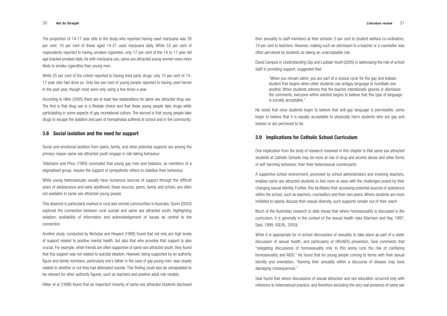their sexuality to staff members at their schools: 5 per cent to student welfare co-ordinators, 14 per cent to teachers. However, making such an admission to a teacher or a counsellor was often perceived by students as taking an unacceptable risk.

David Campos in *Understanding Gay and Lesbian Youth* (2005) in addressing the role of school staff in providing support, suggested that:

"When you remain silent, you are part of a vicious cycle for the gay and lesbian student that begins when other students use antigay language to humiliate one another. When students witness that the teacher intentionally ignores or dismisses the comments, everyone within earshot begins to believe that this type of language is socially acceptable."

He noted that once students begin to believe that anti-gay language is permissible, some begin to believe that it is equally acceptable to physically harm students who are gay and lesbian or are perceived to be.

#### **3.9 Implications for Catholic School Curriculum**

One implication from the body of research reviewed in this chapter is that same sex attracted students at Catholic Schools may be more at risk of drug and alcohol abuse and other forms of self-harming behaviour, than their heterosexual counterparts.

A supportive school environment, promoted by school administrators and involving teachers, enables same sex attracted students to feel more at ease with the challenges posed by their changing sexual identity. Further, this facilitates their accessing potential sources of assistance within the school, such as teachers, counsellors and their own peers. Where students are more inhibited to openly discuss their sexual diversity, such supports remain out of their reach.

Much of the Australian research to date shows that where homosexuality is discussed in the curriculum, it is generally in the context of the sexual health risks (Harrison and Hay, 1997; Seal, 1999; VGLRL, 2000).

While it is appropriate for in-school discussions of sexuality to take place as part of a wider discussion of sexual health, and particularly of HIV/AIDS prevention, Seal comments that "relegating discussions of homosexuality only to this arena runs the risk of conflating homosexuality and AIDS." He found that for young people coming to terms with their sexual identity and orientation, "framing their sexuality within a discourse of disease may have damaging consequences."

Seal found that where discussions of sexual attraction and sex education occurred only with reference to heterosexual practice, and therefore excluding the very real presence of same sex

The proportion of 14-17 year olds in the study who reported having used marijuana was 38 per cent. 10 per cent of those aged 14-21 used marijuana daily. While 53 per cent of respondents reported to having smoked cigarettes, only 17 per cent of the 14 to 17 year old age bracket smoked daily. As with marijuana use, same sex attracted young women were more likely to smoke cigarettes than young men.

While 25 per cent of the cohort reported to having tried party drugs, only 15 per cent of 14- 17 year olds had done so. Only two per cent of young people reported to having used heroin in the past year, though most were only using a few times a year.

According to Hiller (2005) there are at least two explanations for same sex attracted drug use. The first is that drug use is a lifestyle choice and that these young people take drugs while participating in some aspects of gay recreational culture. The second is that young people take drugs to escape the isolation and pain of homophobia suffered at school and in the community.

#### **3.8 Social isolation and the need for support**

Social and emotional isolation from peers, family, and other potential supports are among the primary reason same sex attracted youth engage in risk taking behaviour.

Telljohann and Price (1993) concluded that young gay men and lesbians, as members of a stigmatised group, require the support of sympathetic others to stabilise their behaviour.

While young heterosexuals usually have numerous sources of support through the difficult years of adolescence and early adulthood, these sources, peers, family and school, are often not available to same sex attracted young people.

This absence is particularly marked in rural and remote communities in Australia. Quinn (2003) explored the connection between rural suicide and same sex attracted youth, highlighting isolation, availability of information and acknowledgement of issues as central to the connection.

Another study, conducted by Nicholas and Howard (1998) found that not only are high levels of support related to positive mental health, but also that who provides that support is also crucial. For example, while friends are often supportive of same sex attracted youth, they found that this support was not related to suicidal ideation. However, being supported by an authority figure and family members, particularly one's father in the case of gay young men, was closely related to whether or not they had attempted suicide. This finding could also be extrapolated to be relevant for other authority figures, such as teachers and positive adult role models.

Hillier et al (1998) found that an important minority of same-sex attracted students disclosed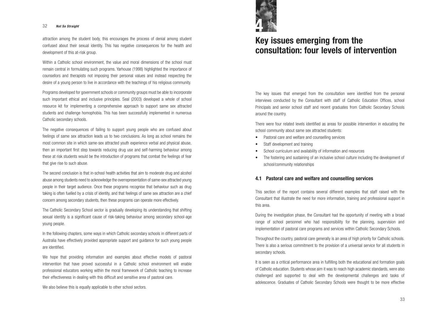# **Key issues emerging from the consultation: four levels of intervention**

The key issues that emerged from the consultation were identified from the personal interviews conducted by the Consultant with staff of Catholic Education Offices, school Principals and senior school staff and recent graduates from Catholic Secondary Schools around the country.

There were four related levels identified as areas for possible intervention in educating the school community about same sex attracted students:

- Pastoral care and welfare and counselling services
- Staff development and training
- School curriculum and availability of information and resources
- The fostering and sustaining of an inclusive school culture including the development of school/community relationships

#### **4.1 Pastoral care and welfare and counselling services**

This section of the report contains several different examples that staff raised with the Consultant that illustrate the need for more information, training and professional support in this area.

During the investigation phase, the Consultant had the opportunity of meeting with a broad range of school personnel who had responsibility for the planning, supervision and implementation of pastoral care programs and services within Catholic Secondary Schools.

Throughout the country, pastoral care generally is an area of high priority for Catholic schools. There is also a serious commitment to the provision of a universal service for all students in secondary schools.

It is seen as a critical performance area in fulfilling both the educational and formation goals of Catholic education. Students whose aim it was to reach high academic standards, were also challenged and supported to deal with the developmental challenges and tasks of adolescence. Graduates of Catholic Secondary Schools were thought to be more effective

attraction among the student body, this encourages the process of denial among student confused about their sexual identity. This has negative consequences for the health and development of this at-risk group.

Within a Catholic school environment, the value and moral dimensions of the school must remain central in formulating such programs. Yarhouse (1998) highlighted the importance of counsellors and therapists not imposing their personal values and instead respecting the desire of a young person to live in accordance with the teachings of his religious community.

Programs developed for government schools or community groups must be able to incorporate such important ethical and inclusive principles. Seal (2003) developed a whole of school resource kit for implementing a comprehensive approach to support same sex attracted students and challenge homophobia. This has been successfully implemented in numerous Catholic secondary schools.

The negative consequences of failing to support young people who are confused about feelings of same sex attraction leads us to two conclusions. As long as school remains the most common site in which same-sex attracted youth experience verbal and physical abuse, then an important first step towards reducing drug use and self-harming behaviour among these at risk students would be the introduction of programs that combat the feelings of fear that give rise to such abuse.

The second conclusion is that in-school health activities that aim to moderate drug and alcohol abuse among students need to acknowledge the overrepresentation of same-sex attracted young people in their target audience. Once these programs recognise that behaviour such as drug taking is often fuelled by a crisis of identity, and that feelings of same sex attraction are a chief concern among secondary students, then these programs can operate more effectively.

The Catholic Secondary School sector is gradually developing its understanding that shifting sexual identity is a significant cause of risk-taking behaviour among secondary school-age young people.

In the following chapters, some ways in which Catholic secondary schools in different parts of Australia have effectively provided appropriate support and guidance for such young people are identified.

We hope that providing information and examples about effective models of pastoral intervention that have proved successful in a Catholic school environment will enable professional educators working within the moral framework of Catholic teaching to increase their effectiveness in dealing with this difficult and sensitive area of pastoral care.

We also believe this is equally applicable to other school sectors.

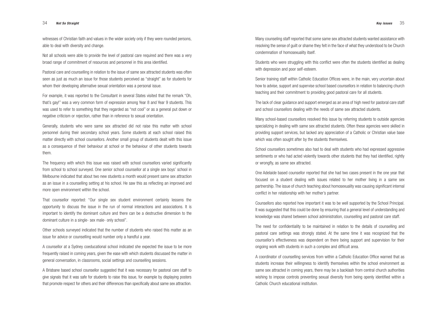Many counseling staff reported that some same sex attracted students wanted assistance with resolving the sense of guilt or shame they felt in the face of what they understood to be Church condemnation of homosexuality itself.

Students who were struggling with this conflict were often the students identified as dealing with depression and poor self-esteem.

Many school-based counsellors resolved this issue by referring students to outside agencies specializing in dealing with same sex attracted students. Often these agencies were skilled in providing support services, but lacked any appreciation of a Catholic or Christian value base which was often sought after by the students themselves.

Senior training staff within Catholic Education Offices were, in the main, very uncertain about how to advise, support and supervise school based counsellors in relation to balancing church teaching and their commitment to providing good pastoral care for all students.

The lack of clear guidance and support emerged as an area of high need for pastoral care staff and school counsellors dealing with the needs of same sex attracted students.

School counsellors sometimes also had to deal with students who had expressed aggressive sentiments or who had acted violently towards other students that they had identified, rightly or wrongfly, as same sex attracted.

One Adelaide based counsellor reported that she had two cases present in the one year that focused on a student dealing with issues related to her mother living in a same sex partnership. The issue of church teaching about homosexuality was causing significant internal conflict in her relationship with her mother's partner.

Counsellors also reported how important it was to be well supported by the School Principal. It was suggested that this could be done by ensuring that a general level of understanding and knowledge was shared between school administration, counselling and pastoral care staff.

The need for confidentiality to be maintained in relation to the details of counselling and pastoral care settings was strongly stated. At the same time it was recognized that the counsellor's effectiveness was dependent on there being support and supervision for their ongoing work with students in such a complex and difficult area.

A coordinator of counselling services from within a Catholic Education Office warned that as students increase their willingness to identify themselves within the school environment as same sex attracted in coming years, there may be a backlash from central church authorities wishing to impose controls preventing sexual diversity from being openly identified within a Catholic Church educational institution.

witnesses of Christian faith and values in the wider society only if they were rounded persons, able to deal with diversity and change.

Not all schools were able to provide the level of pastoral care required and there was a very broad range of commitment of resources and personnel in this area identified.

Pastoral care and counselling in relation to the issue of same sex attracted students was often seen as just as much an issue for those students perceived as "straight" as for students for whom their developing alternative sexual orientation was a personal issue.

For example, it was reported to the Consultant in several States visited that the remark "Oh, that's gay!" was a very common form of expression among Year 8 and Year 9 students. This was used to refer to something that they regarded as "not cool" or as a general put down or negative criticism or rejection, rather than in reference to sexual orientation.

Generally, students who were same sex attracted did not raise this matter with school personnel during their secondary school years. Some students at each school raised this matter directly with school counsellors. Another small group of students dealt with this issue as a consequence of their behaviour at school or the behaviour of other students towards them.

The frequency with which this issue was raised with school counsellors varied significantly from school to school surveyed. One senior school counsellor at a single sex boys' school in Melbourne indicated that about two new students a month would present same sex attraction as an issue in a counselling setting at his school. He saw this as reflecting an improved and more open environment within the school.

That counsellor reported: "Our single sex student environment certainly lessens the opportunity to discuss the issue in the run of normal interactions and associations. It is important to identify the dominant culture and there can be a destructive dimension to the dominant culture in a single- sex male- only school".

Other schools surveyed indicated that the number of students who raised this matter as an issue for advice or counselling would number only a handful a year.

A counsellor at a Sydney coeducational school indicated she expected the issue to be more frequently raised in coming years, given the ease with which students discussed the matter in general conversation, in classrooms, social settings and counselling sessions.

A Brisbane based school counsellor suggested that it was necessary for pastoral care staff to give signals that it was safe for students to raise this issue, for example by displaying posters that promote respect for others and their differences than specifically about same sex attraction.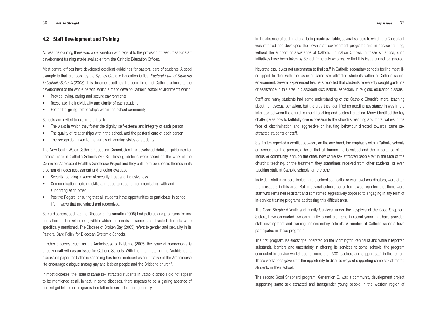In the absence of such material being made available, several schools to which the Consultant was referred had developed their own staff development programs and in-service training, without the support or assistance of Catholic Education Offices. In these situations, such initiatives have been taken by School Principals who realize that this issue cannot be ignored.

Nevertheless, it was not uncommon to find staff in Catholic secondary schools feeling most illequipped to deal with the issue of same sex attracted students within a Catholic school environment. Several experienced teachers reported that students repeatedly sought guidance or assistance in this area in classroom discussions, especially in religious education classes.

Staff and many students had some understanding of the Catholic Church's moral teaching about homosexual behaviour, but the area they identified as needing assistance in was in the interface between the church's moral teaching and pastoral practice. Many identified the key challenge as how to faithfully give expression to the church's teaching and moral values in the face of discrimination and aggressive or insulting behaviour directed towards same sex attracted students or staff.

Staff often reported a conflict between, on the one hand, the emphasis within Catholic schools on respect for the person, a belief that all human life is valued and the importance of an inclusive community, and, on the other, how same sex attracted people felt in the face of the church's teaching, or the treatment they sometimes received from other students, or even teaching staff, at Catholic schools, on the other.

- Provide loving, caring and secure environments
- Recognize the individuality and dignity of each student
- Foster life-giving relationships within the school community

Individual staff members, including the school counsellor or year level coordinators, were often the crusaders in this area. But in several schools consulted it was reported that there were staff who remained resistant and sometimes aggressively opposed to engaging in any form of in-service training programs addressing this difficult area.

The Good Shepherd Youth and Family Services, under the auspices of the Good Shepherd Sisters, have conducted two community based programs in recent years that have provided staff development and training for secondary schools. A number of Catholic schools have participated in these programs.

The first program, Kaleidoscope, operated on the Mornington Peninsula and while it reported substantial barriers and uncertainty in offering its services to some schools, the program conducted in-service workshops for more than 300 teachers and support staff in the region. These workshops gave staff the opportunity to discuss ways of supporting same sex attracted students in their school.

In other dioceses, such as the Archdiocese of Brisbane (2005) the issue of homophobia is directly dealt with as an issue for Catholic Schools. With the imprimatur of the Archbishop, a discussion paper for Catholic schooling has been produced as an initiative of the Archdiocese "to encourage dialogue among gay and lesbian people and the Brisbane church".

> The second Good Shepherd program, Generation Q, was a community development project supporting same sex attracted and transgender young people in the western region of

#### **4.2 Staff Development and Training**

Across the country, there was wide variation with regard to the provision of resources for staff development training made available from the Catholic Education Offices.

Most central offices have developed excellent guidelines for pastoral care of students. A good example is that produced by the Sydney Catholic Education Office: *Pastoral Care of Students in Catholic Schools* (2003). This document outlines the commitment of Catholic schools to the development of the whole person, which aims to develop Catholic school environments which:

Schools are invited to examine critically:

- The ways in which they foster the dignity, self-esteem and integrity of each person
- The quality of relationships within the school, and the pastoral care of each person
- The recognition given to the variety of learning styles of students

The New South Wales Catholic Education Commission has developed detailed guidelines for pastoral care in Catholic Schools (2003). These guidelines were based on the work of the Centre for Adolescent Health's Gatehouse Project and they outline three specific themes in its program of needs assessment and ongoing evaluation:

- Security: building a sense of security, trust and inclusiveness
- Communication: building skills and opportunities for communicating with and supporting each other
- Positive Regard: ensuring that all students have opportunities to participate in school life in ways that are valued and recognized.

Some dioceses, such as the Diocese of Parramatta (2005) had policies and programs for sex education and development, within which the needs of same sex attracted students were specifically mentioned. The Diocese of Broken Bay (2005) refers to gender and sexuality in its Pastoral Care Policy for Diocesan Systemic Schools.

In most dioceses, the issue of same sex attracted students in Catholic schools did not appear to be mentioned at all. In fact, in some dioceses, there appears to be a glaring absence of current guidelines or programs in relation to sex education generally.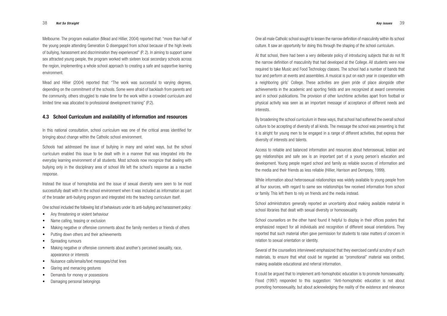One all male Catholic school sought to lessen the narrow definition of masculinity within its school culture. It saw an opportunity for doing this through the shaping of the school curriculum.

At that school, there had been a very deliberate policy of introducing subjects that do not fit the narrow definition of masculinity that had developed at the College. All students were now required to take Music and Food Technology classes. The school had a number of bands that tour and perform at events and assemblies. A musical is put on each year in cooperation with a neighboring girls' College. These activities are given pride of place alongside other achievements in the academic and sporting fields and are recognized at award ceremonies and in school publications. The provision of other lunchtime activities apart from football or physical activity was seen as an important message of acceptance of different needs and interests.

By broadening the school curriculum in these ways, that school had softened the overall school culture to be accepting of diversity of all kinds. The message the school was presenting is that it is alright for young men to be engaged in a range of different activities, that express their diversity of interests and talents.

Access to reliable and balanced information and resources about heterosexual, lesbian and gay relationships and safe sex is an important part of a young person's education and development. Young people regard school and family as reliable sources of information and the media and their friends as less reliable (Hillier, Harrison and Dempsey, 1999).

While information about heterosexual relationships was widely available to young people from all four sources, with regard to same sex relationships few received information from school or family. This left them to rely on friends and the media instead.

School administrators generally reported an uncertainty about making available material in school libraries that dealt with sexual diversity or homosexuality.

School counsellors on the other hand found it helpful to display in their offices posters that emphasized respect for all individuals and recognition of different sexual orientations. They reported that such material often gave permission for students to raise matters of concern in relation to sexual orientation or identity.

Several of the counsellors interviewed emphasized that they exercised careful scrutiny of such materials, to ensure that what could be regarded as "promotional" material was omitted, making available educational and referral information.

It could be argued that to implement anti-homophobic education is to promote homosexuality. Flood (1997) responded to this suggestion: "Anti-homophobic education is not about promoting homosexuality, but about acknowledging the reality of the existence and relevance

Melbourne. The program evaluation (Mead and Hillier, 2004) reported that: "more than half of the young people attending Generation Q disengaged from school because of the high levels of bullying, harassment and discrimination they experienced" (P. 2). In aiming to support same sex attracted young people, the program worked with sixteen local secondary schools across the region, implementing a whole school approach to creating a safe and supportive learning environment.

Mead and Hillier (2004) reported that: "The work was successful to varying degrees, depending on the commitment of the schools. Some were afraid of backlash from parents and the community, others struggled to make time for the work within a crowded curriculum and limited time was allocated to professional development training" (P.2).

#### **4.3 School Curriculum and availability of information and resources**

In this national consultation, school curriculum was one of the critical areas identified for bringing about change within the Catholic school environment.

Schools had addressed the issue of bullying in many and varied ways, but the school curriculum enabled this issue to be dealt with in a manner that was integrated into the everyday learning environment of all students. Most schools now recognize that dealing with bullying only in the disciplinary area of school life left the school's response as a reactive response.

Instead the issue of homophobia and the issue of sexual diversity were seen to be most successfully dealt with in the school environment when it was included as information as part of the broader anti-bullying program and integrated into the teaching curriculum itself.

One school included the following list of behaviours under its anti-bullying and harassment policy:

- Any threatening or violent behaviour
- Name calling, teasing or exclusion
- Making negative or offensive comments about the family members or friends of others
- Putting down others and their achievements
- Spreading rumours
- Making negative or offensive comments about another's perceived sexuality, race, appearance or interests
- Nuisance calls/emails/text messages/chat lines
- Glaring and menacing gestures
- Demands for money or possessions
- Damaging personal belongings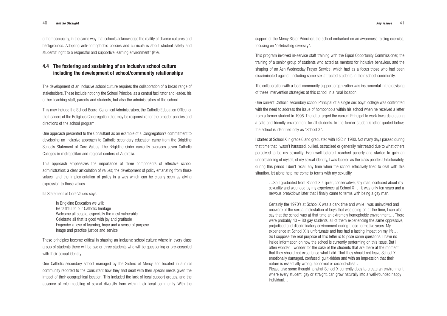support of the Mercy Sister Principal, the school embarked on an awareness raising exercise, focusing on "celebrating diversity".

This program involved in-service staff training with the Equal Opportunity Commissioner, the training of a senior group of students who acted as mentors for inclusive behaviour, and the shaping of an Ash Wednesday Prayer Service, which had as a focus those who had been discriminated against, including same sex attracted students in their school community.

The collaboration with a local community support organization was instrumental in the devising of these intervention strategies at this school in a rural location.

One current Catholic secondary school Principal of a single sex boys' college was confronted with the need to address the issue of homophobia within his school when he received a letter from a former student in 1998. The letter urged the current Principal to work towards creating a safe and friendly environment for all students. In the former student's letter quoted below, the school is identified only as "School X":

I started at School X in grade 6 and graduated with HSC in 1980. Not many days passed during that time that I wasn't harassed, bullied, ostracized or generally mistreated due to what others perceived to be my sexuality. Even well before I reached puberty and started to gain an understanding of myself, of my sexual identity, I was labeled as the class poofter. Unfortunately, during this period I don't recall any time when the school effectively tried to deal with this situation, let alone help me come to terms with my sexuality.

…So I graduated from School X a quiet, conservative, shy man, confused about my sexuality and wounded by my experience at School X … It was only ten years and a nervous breakdown later that I finally came to terms with being a gay man.

These principles become critical in shaping an inclusive school culture where in every class group of students there will be two or three students who will be questioning or pre-occupied with their sexual identity.

Certainly the 1970's at School X was a dark time and while I was uninvolved and unaware of the sexual molestation of boys that was going on at the time, I can also say that the school was at that time an extremely homophobic environment… There were probably 40 – 80 gay students, all of them experiencing the same oppressive, prejudiced and discriminatory environment during those formative years. My experience at School X is unfortunate and has had a lasting impact on my life... So I suppose the real purpose of this letter is to pose some questions. I have no inside information on how the school is currently performing on this issue. But I often wonder. I wonder for the sake of the students that are there at the moment, that they should not experience what I did. That they should not leave School X emotionally damaged, confused, guilt-ridden and with an impression that their nature is essentially wrong, abnormal or second-class… Please give some thought to what School X currently does to create an environment where every student, gay or straight, can grow naturally into a well-rounded happy individual…

of homosexuality, in the same way that schools acknowledge the reality of diverse cultures and backgrounds. Adopting anti-homophobic policies and curricula is about student safety and students' right to a respectful and supportive learning environment" (P.9).

#### **4.4 The fostering and sustaining of an inclusive school culture including the development of school/community relationships**

The development of an inclusive school culture requires the collaboration of a broad range of stakeholders. These include not only the School Principal as a central facilitator and leader, his or her teaching staff, parents and students, but also the administrators of the school.

This may include the School Board, Canonical Administrators, the Catholic Education Office, or the Leaders of the Religious Congregation that may be responsible for the broader policies and directions of the school program.

One approach presented to the Consultant as an example of a Congregation's commitment to developing an inclusive approach to Catholic secondary education came from the Brigidine Schools Statement of Core Values. The Brigidine Order currently oversees seven Catholic Colleges in metropolitan and regional centers of Australia.

This approach emphasizes the importance of three components of effective school administration: a clear articulation of values; the development of policy emanating from those values; and the implementation of policy in a way which can be clearly seen as giving expression to those values.

Its Statement of Core Values says:

In Brigidine Education we will: Be faithful to our Catholic heritage Welcome all people, especially the most vulnerable Celebrate all that is good with joy and gratitude Engender a love of learning, hope and a sense of purpose Image and practise justice and service

One Catholic secondary school managed by the Sisters of Mercy and located in a rural community reported to the Consultant how they had dealt with their special needs given the impact of their geographical location. This included the lack of local support groups, and the absence of role modeling of sexual diversity from within their local community. With the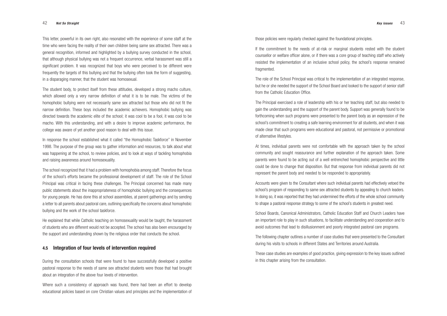those policies were regularly checked against the foundational principles.

If the commitment to the needs of at-risk or marginal students rested with the student counsellor or welfare officer alone, or if there was a core group of teaching staff who actively resisted the implementation of an inclusive school policy, the school's response remained fragmented.

The role of the School Principal was critical to the implementation of an integrated response, but he or she needed the support of the School Board and looked to the support of senior staff from the Catholic Education Office.

The Principal exercised a role of leadership with his or her teaching staff, but also needed to gain the understanding and the support of the parent body. Support was generally found to be forthcoming when such programs were presented to the parent body as an expression of the school's commitment to creating a safe learning environment for all students, and when it was made clear that such programs were educational and pastoral, not permissive or promotional of alternative lifestyles.

At times, individual parents were not comfortable with the approach taken by the school community and sought reassurance and further explanation of the approach taken. Some parents were found to be acting out of a well entrenched homophobic perspective and little could be done to change that disposition. But that response from individual parents did not represent the parent body and needed to be responded to appropriately.

Accounts were given to the Consultant where such individual parents had effectively vetoed the school's program of responding to same sex attracted students by appealing to church leaders. In doing so, it was reported that they had undermined the efforts of the whole school community to shape a pastoral response strategy to some of the school's students in greatest need.

School Boards, Canonical Administrators, Catholic Education Staff and Church Leaders have an important role to play in such situations, to facilitate understanding and cooperation and to avoid outcomes that lead to disillusionment and poorly integrated pastoral care programs.

The following chapter outlines a number of case studies that were presented to the Consultant during his visits to schools in different States and Territories around Australia.

These case studies are examples of good practice, giving expression to the key issues outlined in this chapter arising from the consultation.

This letter, powerful in its own right, also resonated with the experience of some staff at the time who were facing the reality of their own children being same sex attracted. There was a general recognition, informed and highlighted by a bullying survey conducted in the school, that although physical bullying was not a frequent occurrence, verbal harassment was still a significant problem. It was recognized that boys who were perceived to be different were frequently the targets of this bullying and that the bullying often took the form of suggesting, in a disparaging manner, that the student was homosexual.

The student body, to protect itself from these attitudes, developed a strong macho culture, which allowed only a very narrow definition of what it is to be male. The victims of the homophobic bullying were not necessarily same sex attracted but those who did not fit the narrow definition. These boys included the academic achievers. Homophobic bullying was directed towards the academic elite of the school; it was cool to be a fool, it was cool to be macho. With this understanding, and with a desire to improve academic performance, the college was aware of yet another good reason to deal with this issue.

In response the school established what it called "the Homophobic Taskforce" in November 1998. The purpose of the group was to gather information and resources, to talk about what was happening at the school, to review policies, and to look at ways of tackling homophobia and raising awareness around homosexuality.

The school recognized that it had a problem with homophobia among staff. Therefore the focus of the school's efforts became the professional development of staff. The role of the School Principal was critical in facing these challenges. The Principal concerned has made many public statements about the inappropriateness of homophobic bullying and the consequences for young people. He has done this at school assemblies, at parent gatherings and by sending a letter to all parents about pastoral care, outlining specifically the concerns about homophobic bullying and the work of the school taskforce.

He explained that while Catholic teaching on homosexuality would be taught, the harassment of students who are different would not be accepted. The school has also been encouraged by the support and understanding shown by the religious order that conducts the school.

#### **4.5 Integration of four levels of intervention required**

During the consultation schools that were found to have successfully developed a positive pastoral response to the needs of same sex attracted students were those that had brought about an integration of the above four levels of intervention.

Where such a consistency of approach was found, there had been an effort to develop educational policies based on core Christian values and principles and the implementation of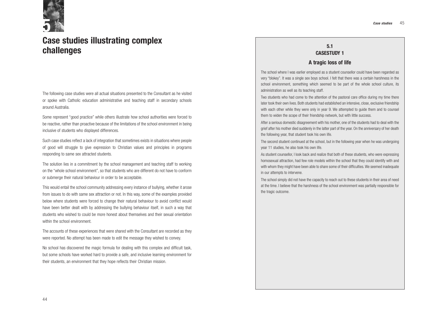## **5.1 CASESTUDY 1**

### **A tragic loss of life**

The school where I was earlier employed as a student counsellor could have been regarded as very "blokey". It was a single sex boys school. I felt that there was a certain harshness in the school environment, something which seemed to be part of the whole school culture, its administration as well as its teaching staff.

Two students who had come to the attention of the pastoral care office during my time there later took their own lives. Both students had established an intensive, close, exclusive friendship with each other while they were only in year 9. We attempted to guide them and to counsel them to widen the scope of their friendship network, but with little success.

After a serious domestic disagreement with his mother, one of the students had to deal with the grief after his mother died suddenly in the latter part of the year. On the anniversary of her death the following year, that student took his own life.

The second student continued at the school, but in the following year when he was undergoing year 11 studies, he also took his own life.

As student counsellor, I look back and realize that both of these students, who were expressing homosexual attraction, had few role models within the school that they could identify with and with whom they might have been able to share some of their difficulties. We seemed inadequate in our attempts to intervene.

This would entail the school community addressing every instance of bullying, whether it arose from issues to do with same sex attraction or not. In this way, some of the examples provided below where students were forced to change their natural behaviour to avoid conflict would have been better dealt with by addressing the bullying behaviour itself, in such a way that students who wished to could be more honest about themselves and their sexual orientation within the school environment.

The school simply did not have the capacity to reach out to these students in their area of need at the time. I believe that the harshness of the school environment was partially responsible for the tragic outcome.

# **Case studies illustrating complex challenges**

The following case studies were all actual situations presented to the Consultant as he visited or spoke with Catholic education administrative and teaching staff in secondary schools around Australia.

Some represent "good practice" while others illustrate how school authorities were forced to be reactive, rather than proactive because of the limitations of the school environment in being inclusive of students who displayed differences.

Such case studies reflect a lack of integration that sometimes exists in situations where people of good will struggle to give expression to Christian values and principles in programs responding to same sex attracted students.

The solution lies in a commitment by the school management and teaching staff to working on the "whole school environment", so that students who are different do not have to conform or submerge their natural behaviour in order to be acceptable.

The accounts of these experiences that were shared with the Consultant are recorded as they were reported. No attempt has been made to edit the message they wished to convey.

No school has discovered the magic formula for dealing with this complex and difficult task, but some schools have worked hard to provide a safe, and inclusive learning environment for their students, an environment that they hope reflects their Christian mission.

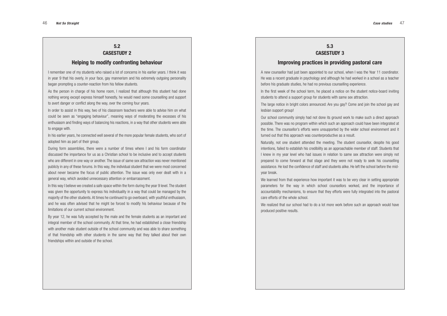## **5.3 CASESTUDY 3**

A new counsellor had just been appointed to our school, when I was the Year 11 coordinator. He was a recent graduate in psychology and although he had worked in a school as a teacher before his graduate studies, he had no previous counselling experience. In the first week of the school term, he placed a notice on the student notice-board inviting students to attend a support group for students with same sex attraction.

## **Improving practices in providing pastoral care**

The large notice in bright colors announced: Are you gay? Come and join the school gay and lesbian support group!

Our school community simply had not done its ground work to make such a direct approach possible. There was no program within which such an approach could have been integrated at the time. The counsellor's efforts were unsupported by the wider school environment and it turned out that this approach was counterproductive as a result.

We learned from that experience how important it was to be very clear in setting appropriate parameters for the way in which school counsellors worked, and the importance of accountability mechanisms, to ensure that they efforts were fully integrated into the pastoral care efforts of the whole school.

Naturally, not one student attended the meeting. The student counsellor, despite his good intentions, failed to establish his credibility as an approachable member of staff. Students that I knew in my year level who had issues in relation to same sex attraction were simply not prepared to come forward at that stage and they were not ready to seek his counselling assistance. He lost the confidence of staff and students alike. He left the school before the midyear break.

We realized that our school had to do a lot more work before such an approach would have produced positive results.

## **5.2 CASESTUDY 2**

#### **Helping to modify confronting behaviour**

In this way I believe we created a safe space within the form during the year 9 level. The student was given the opportunity to express his individuality in a way that could be managed by the majority of the other students. At times he continued to go overboard, with youthful enthusiasm, and he was often advised that he might be forced to modify his behaviour because of the limitations of our current school environment.

I remember one of my students who raised a lot of concerns in his earlier years. I think it was in year 9 that his overly, in your face, gay mannerism and his extremely outgoing personality began prompting a counter-reaction from his fellow students.

As the person in charge of his home room, I realized that although this student had done nothing wrong except express himself honestly, he would need some counselling and support to avert danger or conflict along the way, over the coming four years.

In order to assist in this way, two of his classroom teachers were able to advise him on what could be seen as "engaging behaviour", meaning ways of moderating the excesses of his enthusiasm and finding ways of balancing his reactions, in a way that other students were able to engage with.

In his earlier years, he connected well several of the more popular female students, who sort of adopted him as part of their group.

During form assemblies, there were a number of times where I and his form coordinator discussed the importance for us as a Christian school to be inclusive and to accept students who are different in one way or another. The issue of same sex attraction was never mentioned publicly in any of these forums. In this way, the individual student that we were most concerned about never became the focus of public attention. The issue was only ever dealt with in a general way, which avoided unnecessary attention or embarrassment.

By year 12, he was fully accepted by the male and the female students as an important and integral member of the school community. At that time, he had established a close friendship with another male student outside of the school community and was able to share something of that friendship with other students in the same way that they talked about their own friendships within and outside of the school.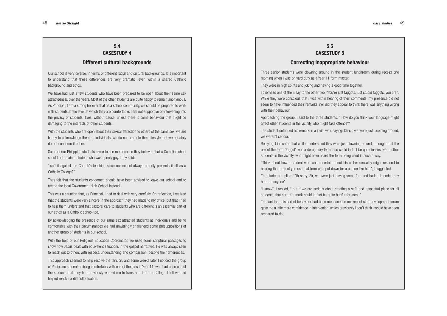## **5.5 CASESTUDY 5**

### **Correcting inappropriate behaviour**

Three senior students were clowning around in the student lunchroom during recess one morning when I was on yard duty as a Year 11 form master.

They were in high spirits and joking and having a good time together.

I overhead one of them say to the other two: "You're just faggots, just stupid faggots, you are". While they were conscious that I was within hearing of their comments, my presence did not seem to have influenced their remarks, nor did they appear to think there was anything wrong with their behaviour

Approaching the group, I said to the three students: " How do you think your language might affect other students in the vicinity who might take offence?"

The student defended his remark in a jovial way, saying: Oh sir, we were just clowning around, we weren't serious.

Replying, I indicated that while I understood they were just clowning around, I thought that the use of the term "faggot" was a derogatory term, and could in fact be quite insensitive to other students in the vicinity, who might have heard the term being used in such a way.

"Think about how a student who was uncertain about his or her sexuality might respond to hearing the three of you use that term as a put down for a person like him", I suggested. The students replied: "Oh sorry, Sir, we were just having some fun, and hadn't intended any harm to anyone".

With the students who are open about their sexual attraction to others of the same sex, we are happy to acknowledge them as individuals. We do not promote their lifestyle, but we certainly do not condemn it either.

"Isn't it against the Church's teaching since our school always proudly presents itself as a Catholic College?"

> "I know", I replied, " but if we are serious about creating a safe and respectful place for all students, that sort of remark could in fact be quite hurtful for some". The fact that this sort of behaviour had been mentioned in our recent staff development forum gave me a little more confidence in intervening, which previously I don't think I would have been prepared to do.

## **5.4 CASESTUDY 4**

#### **Different cultural backgrounds**

Our school is very diverse, in terms of different racial and cultural backgrounds. It is important to understand that these differences are very dramatic, even within a shared Catholic background and ethos.

We have had just a few students who have been prepared to be open about their same sex attractedness over the years. Most of the other students are quite happy to remain anonymous. As Principal, I am a strong believer that as a school community, we should be prepared to work with students at the level at which they are comfortable. I am not supportive of intervening into the privacy of students' lives, without cause, unless there is some behaviour that might be damaging to the interests of other students.

Some of our Philippino students came to see me because they believed that a Catholic school should not retain a student who was openly gay. They said:

They felt that the students concerned should have been advised to leave our school and to attend the local Government High School instead.

This was a situation that, as Principal, I had to deal with very carefully. On reflection, I realized that the students were very sincere in the approach they had made to my office, but that I had to help them understand that pastoral care to students who are different is an essential part of our ethos as a Catholic school too.

By acknowledging the presence of our same sex attracted students as individuals and being comfortable with their circumstances we had unwittingly challenged some presuppositions of another group of students in our school.

With the help of our Religious Education Coordinator, we used some scriptural passages to show how Jesus dealt with equivalent situations in the gospel narratives. He was always seen to reach out to others with respect, understanding and compassion, despite their differences.

This approach seemed to help resolve the tension, and some weeks later I noticed the group of Philippino students mixing comfortably with one of the girls in Year 11, who had been one of the students that they had previously wanted me to transfer out of the College. I felt we had helped resolve a difficult situation.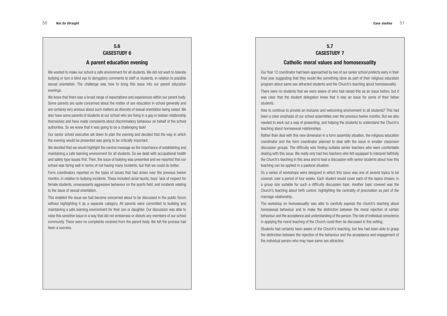### **5.7 CASESTUDY 7**

#### **Catholic moral values and homosexuality**

Our Year 12 coordinator had been approached by two of our senior school prefects early in their final year suggesting that they would like something done as part of their religious education program about same sex attracted students and the Church's teaching about homosexuality.

There were no students that we were aware of who had raised this as an issue before, but it was clear that the student delegation knew that it was an issue for some of their fellow students.

How to continue to provide an inclusive and welcoming environment to all students? This had been a clear emphasis of our school assemblies over the previous twelve months. But we also needed to work out a way of presenting, and helping the students to understand the Church's teaching about homosexual relationships.

Rather than deal with this new dimension in a form assembly situation, the religious education coordinator and the form coordinator planned to deal with the issue in smaller classroom discussion groups. The difficulty was finding suitable senior teachers who were comfortable dealing with this issue. We really only had two teachers who felt equipped to interpret faithfully the Church's teaching in this area and to lead a discussion with senior students about how this teaching can be applied in a pastoral situation.

So a series of workshops were designed in which this issue was one of several topics to be covered, over a period of four weeks. Each student would cover each of the topics chosen, in a group size suitable for such a difficulty discussion topic. Another topic covered was the Church's teaching about birth control, highlighting the centrality of procreation as part of the marriage relationship.

We knew that there was a broad range of expectations and experiences within our parent body. Some parents are quite concerned about the matter of sex education in school generally and are certainly very anxious about such matters as diversity of sexual orientation being raised. We also have some parents of students at our school who are living in a gay or lesbian relationship themselves and have made complaints about discriminatory behaviour on behalf of the school authorities. So we knew that it was going to be a challenging task!

We decided that we would highlight the central message as the importance of establishing and maintaining a safe learning environment for all students. So we dealt with occupational health and safety type issues first. Then, the issue of bullying was presented and we reported that our school was faring well in terms of not having many incidents, but that we could do better.

> The workshop on homosexuality was able to carefully express the church's teaching about homosexual behaviour and to make the distinction between the moral rejection of certain behaviour and the acceptance and understanding of the person. The role of individual conscience in applying the moral teaching of the Church could then be discussed in this setting. Students had certainly been aware of the Church's teaching, but few had been able to grasp the distinction between the rejection of the behaviour and the acceptance and engagement of the individual person who may have same sex attraction.

## **5.6 CASESTUDY 6**

#### **A parent education evening**

We wanted to make our school a safe environment for all students. We did not want to tolerate bullying or turn a blind eye to derogatory comments to staff or students, in relation to possible sexual orientation. The challenge was how to bring this issue into our parent education evenings.

Our senior school executive sat down to plan the evening and decided that the way in which the evening would be presented was going to be critically important.

Form coordinators reported on the types of issues that had arisen over the previous twelve months, in relation to bullying incidents. These included racial taunts, boys' lack of respect for female students, unnecessarily aggressive behaviour on the sports field, and incidents relating to the issue of sexual orientation.

This enabled the issue we had become concerned about to be discussed in the public forum without highlighting it as a separate category. All parents were committed to building and maintaining a safe learning environment for their son or daughter. Our discussion was able to raise this sensitive issue in a way that did not embarrass or disturb any members of our school community. There were no complaints received from the parent body. We felt the process had been a success.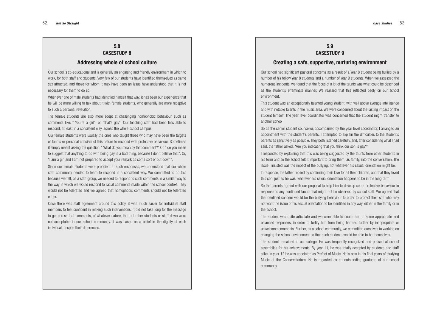### **5.9 CASESTUDY 9**

#### **Creating a safe, supportive, nurturing environment**

Our school had significant pastoral concerns as a result of a Year 8 student being bullied by a number of his fellow Year 8 students and a number of Year 9 students. When we assessed the numerous incidents, we found that the focus of a lot of the taunts was what could be described as the student's effeminate manner. We realized that this reflected badly on our school environment.

This student was an exceptionally talented young student, with well above average intelligence and with notable talents in the music area. We were concerned about the lasting impact on the student himself. The year level coordinator was concerned that the student might transfer to another school.

So as the senior student counsellor, accompanied by the year level coordinator, I arranged an appointment with the student's parents. I attempted to explain the difficulties to the student's parents as sensitively as possible. They both listened carefully, and, after considering what I had said, the father asked: "Are you indicating that you think our son is gay?" I responded by explaining that this was being suggested by the taunts from other students in his form and so the school felt it important to bring them, as family, into the conversation. The issue I insisted was the impact of the bullying, not whatever his sexual orientation might be. In response, the father replied by confirming their love for all their children, and that they loved this son, just as he was, whatever his sexual orientation happens to be in the long term. So the parents agreed with our proposal to help him to develop some protective behaviour in response to any continued taunts that might not be observed by school staff. We agreed that the identified concern would be the bullying behaviour to order to protect their son who may not want the issue of his sexual orientation to be identified in any way, either in the family or in the school.

The student was quite articulate and we were able to coach him in some appropriate and balanced responses, in order to fortify him from being harmed further by inappropriate or unwelcome comments. Further, as a school community, we committed ourselves to working on changing the school environment so that such students would be able to be themselves.

The student remained in our college. He was frequently recognized and praised at school assemblies for his achievements. By year 11, he was totally accepted by students and staff alike. In year 12 he was appointed as Prefect of Music. He is now in his final years of studying Music at the Conservatorium. He is regarded as an outstanding graduate of our school community.

## **5.8 CASESTUDY 8**

#### **Addressing whole of school culture**

Our school is co-educational and is generally an engaging and friendly environment in which to work, for both staff and students. Very few of our students have identified themselves as same sex attracted, and those for whom it may have been an issue have understood that it is not necessary for them to do so.

Whenever one of male students had identified himself that way, it has been our experience that he will be more willing to talk about it with female students, who generally are more receptive to such a personal revelation.

The female students are also more adept at challenging homophobic behaviour, such as comments like: " You're a girl", or, "that's gay". Our teaching staff had been less able to respond, at least in a consistent way, across the whole school campus.

Our female students were usually the ones who taught those who may have been the targets of taunts or personal criticism of this nature to respond with protective behaviour. Sometimes it simply meant asking the question: " What do you mean by that comment?" Or, " do you mean to suggest that anything to do with being gay is a bad thing, because I don't believe that". Or, "I am a girl and I am not prepared to accept your remark as some sort of put down".

Since our female students were proficient at such responses, we understood that our whole staff community needed to learn to respond in a consistent way. We committed to do this because we felt, as a staff group, we needed to respond to such comments in a similar way to the way in which we would respond to racial comments made within the school context. They would not be tolerated and we agreed that homophobic comments should not be tolerated either.

Once there was staff agreement around this policy, it was much easier for individual staff members to feel confident in making such interventions. It did not take long for the message to get across that comments, of whatever nature, that put other students or staff down were not acceptable in our school community. It was based on a belief in the dignity of each individual, despite their differences.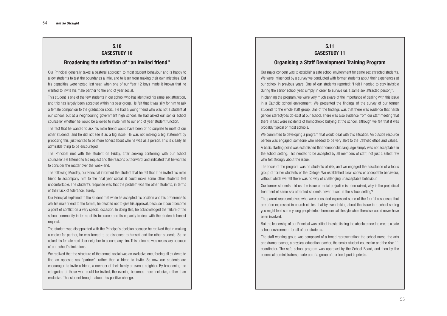# **5.11 CASESTUDY 11**

# **Organising a Staff Development Training Program**

Our major concern was to establish a safe school environment for same sex attracted students. We were influenced by a survey we conducted with former students about their experiences at our school in previous years. One of our students reported: "I felt I needed to stay invisible during the senior school year, simply in order to survive (as a same sex attracted person)". In planning the program, we were very much aware of the importance of dealing with this issue in a Catholic school environment. We presented the findings of the survey of our former students to the whole staff group. One of the findings was that there was evidence that harsh gender stereotypes do exist at our school. There was also evidence from our staff meeting that there in fact were incidents of homophobic bullying at the school, although we felt that it was probably typical of most schools.

We committed to developing a program that would deal with this situation. An outside resource person was engaged, someone who needed to be very alert to the Catholic ethos and values.

A basic starting point was established that homophobic language simply was not acceptable in the school setting. This needed to be accepted by all members of staff, not just a select few who felt strongly about the issue.

The focus of the program was on students at risk, and we engaged the assistance of a focus group of former students of the College. We established clear codes of acceptable behaviour, without which we felt there was no way of challenging unacceptable behaviour.

Our former students told us: the issue of racial prejudice is often raised, why is the prejudicial treatment of same sex attracted students never raised in the school setting?

The parent representatives who were consulted expressed some of the fearful responses that are often expressed in church circles: that by even talking about this issue in a school setting you might lead some young people into a homosexual lifestyle who otherwise would never have been involved.

But the leadership of our Principal was critical in establishing the absolute need to create a safe school environment for all of our students.

The staff working group was composed of a broad representation: the school nurse, the arts and drama teacher, a physical education teacher, the senior student counsellor and the Year 11 coordinator. The safe school program was approved by the School Board, and then by the canonical administrators, made up of a group of our local parish priests.

## **5.10 CASESTUDY 10**

#### **Broadening the definition of "an invited friend"**

Our Principal generally takes a pastoral approach to most student behaviour and is happy to allow students to test the boundaries a little, and to learn from making their own mistakes. But his capacities were tested last year, when one of our Year 12 boys made it known that he wanted to invite his male partner to the end of year social.

This student is one of the few students in our school who has identified his same sex attraction, and this has largely been accepted within his peer group. He felt that it was silly for him to ask a female companion to the graduation social. He had a young friend who was not a student at our school, but at a neighbouring government high school. He had asked our senior school counsellor whether he would be allowed to invite him to our end of year student function.

The fact that he wanted to ask his male friend would have been of no surprise to most of our other students, and he did not see it as a big issue. He was not making a big statement by proposing this, just wanted to be more honest about who he was as a person. This is clearly an admirable thing to be encouraged.

The Principal met with the student on Friday, after seeking conferring with our school counsellor. He listened to his request and the reasons put forward, and indicated that he wanted to consider the matter over the week-end.

The following Monday, our Principal informed the student that he felt that if he invited his male friend to accompany him to the final year social, it could make some other students feel uncomfortable. The student's response was that the problem was the other students, in terms of their lack of tolerance, surely.

Our Principal explained to the student that while he accepted his position and his preference to ask his male friend to the formal, he decided not to give his approval, because it could become a point of conflict on a very special occasion. In doing this, he acknowledged the failure of the school community in terms of its tolerance and its capacity to deal with the student's honest request.

The student was disappointed with the Principal's decision because he realized that in making a choice for partner, he was forced to be dishonest to himself and the other students. So he asked his female next door neighbor to accompany him. This outcome was necessary because of our school's limitations.

We realized that the structure of the annual social was an exclusive one, forcing all students to find an opposite sex "partner", rather than a friend to invite. So now our students are encouraged to invite a friend, a member of their family or even a neighbor. By broadening the categories of those who could be invited, the evening becomes more inclusive, rather than exclusive. This student brought about this positive change.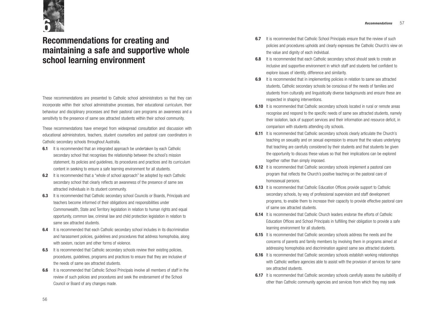- **6.7** It is recommended that Catholic School Principals ensure that the review of such policies and procedures upholds and clearly expresses the Catholic Church's view on the value and dignity of each individual.
- **6.8** It is recommended that each Catholic secondary school should seek to create an inclusive and supportive environment in which staff and students feel confident to explore issues of identity, difference and similarity.
- **6.9** It is recommended that in implementing policies in relation to same sex attracted students, Catholic secondary schools be conscious of the needs of families and students from culturally and linguistically diverse backgrounds and ensure these are respected in shaping interventions.
- **6.10** It is recommended that Catholic secondary schools located in rural or remote areas recognise and respond to the specific needs of same sex attracted students, namely their isolation, lack of support services and their information and resource deficit, in comparison with students attending city schools.
- **6.11** It is recommended that Catholic secondary schools clearly articulate the Church's teaching on sexuality and on sexual expression to ensure that the values underlying that teaching are carefully considered by their students and that students be given the opportunity to discuss these values so that their implications can be explored together rather than simply imposed.
- **6.12** It is recommended that Catholic secondary schools implement a pastoral care program that reflects the Church's positive teaching on the pastoral care of homosexual persons.
- **6.13** It is recommended that Catholic Education Offices provide support to Catholic secondary schools, by way of professional supervision and staff development programs, to enable them to increase their capacity to provide effective pastoral care of same sex attracted students.
- **6.14** It is recommended that Catholic Church leaders endorse the efforts of Catholic Education Offices and School Principals in fulfilling their obligation to provide a safe learning environment for all students.
- **6.15** It is recommended that Catholic secondary schools address the needs and the concerns of parents and family members by involving them in programs aimed at addressing homophobia and discrimination against same sex attracted students.
- **6.16** It is recommended that Catholic secondary schools establish working relationships with Catholic welfare agencies able to assist with the provision of services for same sex attracted students.
- **6.17** It is recommended that Catholic secondary schools carefully assess the suitability of other than Catholic community agencies and services from which they may seek
- **6.1** It is recommended that an integrated approach be undertaken by each Catholic secondary school that recognises the relationship between the school's mission statement, its policies and guidelines, its procedures and practices and its curriculum content in seeking to ensure a safe learning environment for all students.
- **6.2** It is recommended that a "whole of school approach" be adopted by each Catholic secondary school that clearly reflects an awareness of the presence of same sex attracted individuals in its student community.
- **6.3** It is recommended that Catholic secondary school Councils or Boards, Principals and teachers become informed of their obligations and responsibilities under Commonwealth, State and Territory legislation in relation to human rights and equal opportunity, common law, criminal law and child protection legislation in relation to same sex attracted students.
- **6.4** It is recommended that each Catholic secondary school includes in its discrimination and harassment policies, guidelines and procedures that address homophobia, along with sexism, racism and other forms of violence.
- **6.5** It is recommended that Catholic secondary schools review their existing policies, procedures, guidelines, programs and practices to ensure that they are inclusive of the needs of same sex attracted students.
- **6.6** It is recommended that Catholic School Principals involve all members of staff in the review of such policies and procedures and seek the endorsement of the School Council or Board of any changes made.

# **Recommendations for creating and maintaining a safe and supportive whole school learning environment**

These recommendations are presented to Catholic school administrators so that they can incorporate within their school administrative processes, their educational curriculum, their behaviour and disciplinary processes and their pastoral care programs an awareness and a sensitivity to the presence of same sex attracted students within their school community.

These recommendations have emerged from widespread consultation and discussion with educational administrators, teachers, student counsellors and pastoral care coordinators in Catholic secondary schools throughout Australia.

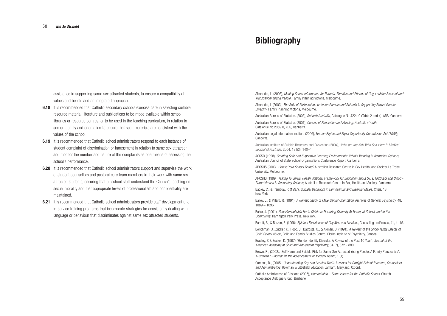Alexander, L. (2003), *Making Sense-Information for Parents, Families and Friends of Gay, Lesbian Bisexual and Transgender Young People,* Family Planning Victoria, Melbourne.

Alexander, L (2003), *The Role of Partnerships between Parents and Schools in Supporting Sexual Gender Diversity*. Family Planning Victoria, Melbourne.

Australian Bureau of Statistics (2003), *Schools Australia*, Catalogue No.4221.0 (Table 2 and 4), ABS, Canberra. Australian Bureau of Statistics (2001), *Census of Population and Housing: Australia's Youth*.

Catalogue.No.2059.0, ABS, Canberra.

Australian Legal Information Institute (2006), *Human Rights and Equal Opportunity Commission Act (1986),* Canberra

Australian Institute of Suicide Research and Prevention (2004), *'Who are the Kids Who Self-Harm?' Medical Journal of Australia*, 2004, 181(3), 140–4.

ACSSO (1998), *Creating Safe and Supportive Learning Environments: What's Working in Australian Schools,* Australian Council of State School Organisations Conference Report, Canberra.

ARCSHS (2003), *How is Your School Doing?* Australian Research Centre in Sex Health, and Society, La Trobe University, Melbourne.

ARCSHS (1999), *Talking To Sexual Health*: *National Framework for Education about STI's, HIV/AIDS and Blood - Borne Viruses in Secondary Schools*, Australian Research Centre in Sex, Health and Society, Canberra.

Bagley, C., & Tremblay, P. (1997), *Suicidal Behaviors in Homosexual and Bisexual Males,* Crisis, 18, New York.

Bailey, J., & Pillard, R. (1991), *A Genetic Study of Male Sexual Orientation*, Archives of General *Psychiatry*, 48, 1089 – 1096.

Baker, J. (2001), *How Homophobia Hurts Children: Nurturing Diversity At Home, at School, and in the Community*, Harrington Park Press, New York.

Barrett, R., & Barzan, R. (1996), *Spiritual Experiences of Gay Men and Lesbians*, Counseling and Values, 41, 4 -15.

Beitchman, J., Zucker, K., Hood, J., DaCosta, G., & Akman, D. (1991), *A Review of the Short-Terms Effects of Child Sexual Abuse,* Child and Family Studies Centre, Clarke Institute of Psychiatry, Canada.

- **6.18** It is recommended that Catholic secondary schools exercise care in selecting suitable resource material, literature and publications to be made available within school libraries or resource centres, or to be used in the teaching curriculum, in relation to sexual identity and orientation to ensure that such materials are consistent with the values of the school.
- **6.19** It is recommended that Catholic school administrators respond to each instance of student complaint of discrimination or harassment in relation to same sex attraction and monitor the number and nature of the complaints as one means of assessing the school's performance.
- **6.20** It is recommended that Catholic school administrators support and supervise the work of student counsellors and pastoral care team members in their work with same sex attracted students, ensuring that all school staff understand the Church's teaching on sexual morality and that appropriate levels of professionalism and confidentiality are maintained.
- **6.21** It is recommended that Catholic school administrators provide staff development and in-service training programs that incorporate strategies for consistently dealing with language or behaviour that discriminates against same sex attracted students.

Bradley, S & Zucker, K. (1997), 'Gender Identity Disorder: A Review of the Past 10 Year'. *Journal of the American Academy of Child and Adolescent Psychiatry,* 34 (7), 872 - 880.

Brown, R., (2002*),* 'Self Harm and Suicide Risk for Same-Sex Attracted Young People: A Family Perspective'*, Australian E-Journal for the Advancement of Medical Health,* 1 (1).

Campos, D., (2005), *Understanding Gay and Lesbian Youth: Lessons for Straight School Teachers, Counselors, and Administrators,* Rowman & Littlefield Education Lanham, Maryland, Oxford.

Catholic Archdiocese of Brisbane (2005), *Homophobia – Some Issues for the Catholic School,* Church - Acceptance Dialogue Group, Brisbane.

assistance in supporting same sex attracted students, to ensure a compatibility of values and beliefs and an integrated approach.

# **Bibliography**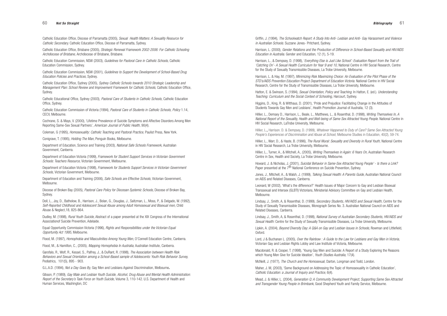Griffin, J. (1994), *The Schoolwatch Report: A Study Into Anti- Lesbian and Anti- Gay Harassment and Violence in Australian Schools.* Suzzane Jones- Pritchard, Sydney.

Harrison, L. (2000), *Gender Relations and the Production of Difference in School-Based Sexuality and HIV/AIDS Education in Australia*. Gender and Education, 12 (1), 5-19.

Harrison, L., & Dempsey, D. (1998), '*Everything Else is Just Like School': Evaluation Report from the Trail of 'Catching On'- A Sexual Health Curriculum for Year 9 and 10,* National Centre in HIV Social Research, Centre for the Study of Sexually Transmissible Diseases, La Trobe University, Melbourne.

Harrison, L. & Hay, M. (1997), *Minimizing Risk Maximizing Choice: An Evaluation of the Pilot Phase of the STD's/AIDS Prevention Education Project Department of Education Victoria.* National Centre in HIV Social Research, Centre for the Study of Transmissible Diseases, La Trobe University, Melbourne.

Hatton, E. & Swinson, S. (1994), *Sexual Orientation, Policy and Teaching*. In Hatton, E. (ed.). *Understanding Teaching: Curriculum and the Social Context of Schooling,* Harcourt, Sydney.

Howard, J. & Nicholas, J. (2001), *Suicidal Behavior in Same-Sex Attracted Young People'* - *Is there a Link?* Paper presented at the 7<sup>th</sup> National Conference on Suicide Prevention, Sydney.

Higgins, D., King, R. & Witthaus, D. (2001), 'Pride and Prejudice: Facilitating Change in the Attitudes of Students Towards Gay Men and Lesbians', Health Promotion Journal of Australia, 12 (3).

Hillier, L., Demsey D., Harrison, L., Beale, L., Matthews, L., & Rosenthal, D. (1998), *Writing Themselves In, A National Report of the Sexuality, Health and Well-being of Same Sex Attracted Young People*. National Centre in HIV Social Research, LaTrobe University, Melbourne.

Hillier, L.**,** Harrison. D. & Dempsey, D. (1999), *Whatever Happened to Duty of Care? Same Sex Attracted Young People's Experiences of Discrimination and Abuse at School,* Melbourne Studies in Education, 40(2), 59-74.

Hillier, L., Warr, D., & Haste, B. (1996), *The Rural Mural: Sexuality and Diversity in Rural Youth,* National Centre in HIV Social Research, La Trobe University, Melbourne.

Hillier, L., Turner, A., & Mitchell, A., (2005), *Writing Themselves in Again: 6 Years On,* Australian Research Centre in Sex, Health and Society, La Trobe University, Melbourne.

Jones, J., Mitchell, A., & Walsh, J. (1999), *Talking Sexual Health: A Parents Guide*, Australian National Council on AIDS and Related Diseases, Canberra.

Leonard, W (2002), 'What's the difference?' Health Issues of Major Concern to Gay and Lesbian Bisexual Transsexual and Intersex (GLBTI) Victorians, Ministerial Advisory Committee on Gay and Lesbian Health, Melbourne.

Lindsay, J., Smith, A, & Rosenthal, D. (1999), *Secondary Students, HIV/AIDS and Sexual Health,* Centre for the Study of Sexually Transmissible Diseases*,* Monograph Series No. 3. Australian National Council on AIDS and Related Diseases, Canberra.

Lindsay, J., Smith, A, & Rosenthal, D. (1998), *National Survey of Australian Secondary Students, HIV/AIDS and Sexual Health:* Centre for the Study of Sexually Transmissible Diseases, La Trobe University, Melbourne.

Lipkin, A. (2004), *Beyond Diversity Day: A Q&A on Gay and Lesbian Issues in Schools,* Rowman and Littlefield, Oxford.

Lord, J & Buchanan L. (2005), *Over the Rainbow : A Guide to the Law for Lesbians and Gay Men in Victoria,* Victorian Gay and Lesbian Rights Lobby and Law Institute of Victoria, Melbourne.

Macdonald, R. & Cooper, T. (1998), 'Young Gay Men and Suicide: A Report of a Study Exploring the Reasons which Young Men Give for Suicide Ideation', *Youth Studies Australia,* 17(4).

McNeill, J. (1977), *The Church and the Homosexual,* Darton, Longman and Todd, London.

Maher, J. M, (2003), 'Some Background on Addressing the Topic of Homosexuality in Catholic Education'*, Catholic Education: a Journal of Inquiry and Practice,* 6(4).

Mead, J. & Hillier, L. (2004), *Generation Q: A Community Development Project, Supporting Same Sex Attracted and Transgender Young People in Brimbank,* Good Shepherd Youth and Family Service, Melbourne.

Catholic Education Office, Diocese of Parramatta (2005), *Sexual Health Matters: A Sexuality Resource for Catholic Secondary.* Catholic Education Office, Diocese of Parramatta, Sydney.

Catholic Education Office, Brisbane (2005), *Strategic Renewal Framework 2002-2006: For Catholic Schooling Archdiocese of Brisbane,* Archdiocese of Brisbane, Brisbane.

Catholic Education Commission, NSW (2003), *Guidelines for Pastoral Care in Catholic Schools*, Catholic Education Commission, Sydney.

Catholic Education Commission, NSW (2001), *Guidelines to Support the Development of School-Based Drug Education Policies and Practices,* Sydney*.*

Catholic Education Office, Sydney (2005), *Sydney Catholic Schools towards 2010 Strategic Leadership and Management Plan: School Review and Improvement Framework for Catholic Schools*, Catholic Education Office, Sydney.

Catholic Educational Office, Sydney (2003), *Pastoral Care of Students in Catholic Schools*, Catholic Education Office, Sydney.

Catholic Education Commission of Victoria (1994), *Pastoral Care of Students in Catholic Schools*, *Policy* 1.14, CECV, Melbourne.

Cochrane, S. & Mays, V. (2000), 'Lifetime Prevalence of Suicide Symptoms and Affective Disorders Among Men Reporting Same-Sex Sexual Partners', *American Journal of Public Health,* 90(4).

Coleman, G (1995), *Homosexuality: Catholic Teaching and Pastoral Practice,* Paulist Press, New York.

Conigrave, T. (1995), *Holding The Man,* Penguin Books, Melbourne.

Department of Education, Science and Training (2003), *National Safe Schools Framework,* Australian Government, Canberra.

Department of Education Victoria (1999), *Framework for Student Support Services in Victorian Government Schools: Teachers Resource*, Victorian Government, Melbourne.

Department of Education Victoria (1998), *Framework for Students Support Services in Victorian Government Schools,* Victorian Government, Melbourne.

Department of Education and Training (2006), *Safe Schools are Effective Schools,* Victorian Government, Melbourne.

Diocese of Broken Bay (2005), *Pastoral Care Policy for Diocesan Systemic Schools,* Diocese of Broken Bay, Sydney.

Doll, L., Joy, D., Batholow, B., Harrison, J., Bolan, G., Douglas, J., Saltzman, L., Moss, P., & Delgado, W. (1992), *Self-Reported Childhood and Adolescent Sexual Abuse among Adult Homosexual and Bisexual men,* Child Abuse & Neglect,18, 825-864.

Dudley, M. (1998), *Rural Youth Suicide*, Abstract of a paper presented at the XIX Congress of the International Associationof Suicide Prevention, Adelaide.

Equal Opportunity Commission Victoria (1996), *Rights and Responsibilities under the Victorian Equal Opportunity Act 1995,* Melbourne.

Flood, M. (1997), *Homophobia and Masculinities Among Young Men,* O'Connell Education Centre, Canberra.

Flood, M., & Hamilton, C., (2005), *Mapping Homophobia In Australia,* Australian Institute, Canberra.

Garofalo, R., Wolf, R., Kessel, S., Palfrey, J., & DuRant, R. (1998), *The Association between Health Risk Behaviors and Sexual Orientation among a School-Based sample of Adolescents: Youth Risk Behavior Survey,* Pediatrics, 101(5), 895 - 903.

G.L.A.D. (1994), *Not a Day Goes By*, Gay Men and Lesbians Against Discrimination, Melbourne**.**

Gibson, P. (1989), *Gay Male and Lesbian Youth Suicide, Alcohol, Drug Abuse and Mental Health Administration*: *Report of the Secretary's Task Force on Youth Suicide,* Volume 3, 110-142. U.S. Department of Health and Human Services, Washington, DC

#### 60 *Not So Straight*